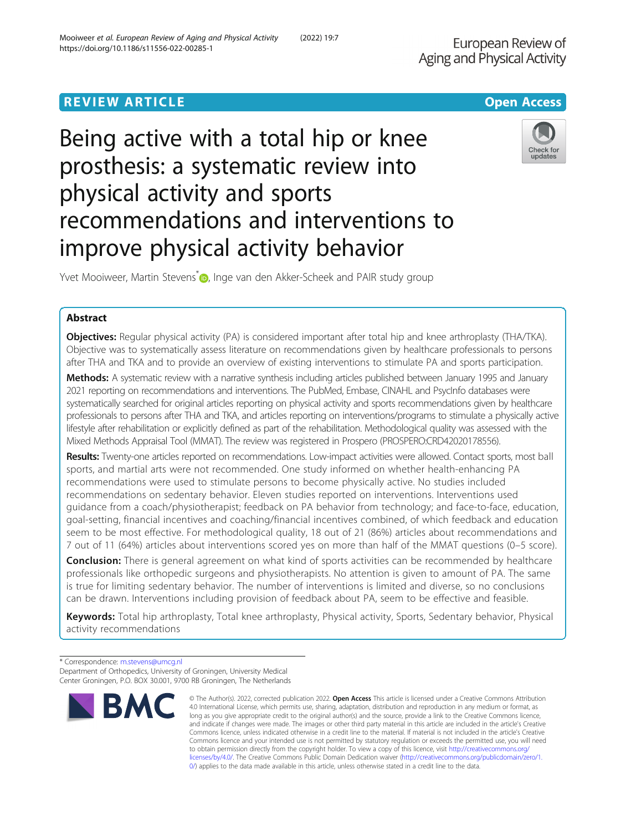# **REVIEW ARTICLE External Structure of the Contract Contract Contract Contract Contract Contract Contract Contract Contract Contract Contract Contract Contract Contract Contract Contract Contract Contract Contract Contrac** Being active with a total hip or knee

# prosthesis: a systematic review into physical activity and sports recommendations and interventions to improve physical activity behavior

Yvet Mooiweer, Martin Stevens<sup>\*</sup> <sub>1</sub>, Inge van den Akker-Scheek and PAIR study group

# Abstract

Objectives: Regular physical activity (PA) is considered important after total hip and knee arthroplasty (THA/TKA). Objective was to systematically assess literature on recommendations given by healthcare professionals to persons after THA and TKA and to provide an overview of existing interventions to stimulate PA and sports participation.

Methods: A systematic review with a narrative synthesis including articles published between January 1995 and January 2021 reporting on recommendations and interventions. The PubMed, Embase, CINAHL and PsycInfo databases were systematically searched for original articles reporting on physical activity and sports recommendations given by healthcare professionals to persons after THA and TKA, and articles reporting on interventions/programs to stimulate a physically active lifestyle after rehabilitation or explicitly defined as part of the rehabilitation. Methodological quality was assessed with the Mixed Methods Appraisal Tool (MMAT). The review was registered in Prospero (PROSPERO:CRD42020178556).

Results: Twenty-one articles reported on recommendations. Low-impact activities were allowed. Contact sports, most ball sports, and martial arts were not recommended. One study informed on whether health-enhancing PA recommendations were used to stimulate persons to become physically active. No studies included recommendations on sedentary behavior. Eleven studies reported on interventions. Interventions used guidance from a coach/physiotherapist; feedback on PA behavior from technology; and face-to-face, education, goal-setting, financial incentives and coaching/financial incentives combined, of which feedback and education seem to be most effective. For methodological quality, 18 out of 21 (86%) articles about recommendations and 7 out of 11 (64%) articles about interventions scored yes on more than half of the MMAT questions (0–5 score).

**Conclusion:** There is general agreement on what kind of sports activities can be recommended by healthcare professionals like orthopedic surgeons and physiotherapists. No attention is given to amount of PA. The same is true for limiting sedentary behavior. The number of interventions is limited and diverse, so no conclusions can be drawn. Interventions including provision of feedback about PA, seem to be effective and feasible.

Keywords: Total hip arthroplasty, Total knee arthroplasty, Physical activity, Sports, Sedentary behavior, Physical activity recommendations

European Review of





<sup>\*</sup> Correspondence: [m.stevens@umcg.nl](mailto:m.stevens@umcg.nl) Department of Orthopedics, University of Groningen, University Medical Center Groningen, P.O. BOX 30.001, 9700 RB Groningen, The Netherlands

**BMC** 

<sup>©</sup> The Author(s). 2022, corrected publication 2022. Open Access This article is licensed under a Creative Commons Attribution 4.0 International License, which permits use, sharing, adaptation, distribution and reproduction in any medium or format, as long as you give appropriate credit to the original author(s) and the source, provide a link to the Creative Commons licence, and indicate if changes were made. The images or other third party material in this article are included in the article's Creative Commons licence, unless indicated otherwise in a credit line to the material. If material is not included in the article's Creative Commons licence and your intended use is not permitted by statutory regulation or exceeds the permitted use, you will need to obtain permission directly from the copyright holder. To view a copy of this licence, visit [http://creativecommons.org/](http://creativecommons.org/licenses/by/4.0/) [licenses/by/4.0/.](http://creativecommons.org/licenses/by/4.0/) The Creative Commons Public Domain Dedication waiver ([http://creativecommons.org/publicdomain/zero/1.](http://creativecommons.org/publicdomain/zero/1.0/) [0/\)](http://creativecommons.org/publicdomain/zero/1.0/) applies to the data made available in this article, unless otherwise stated in a credit line to the data.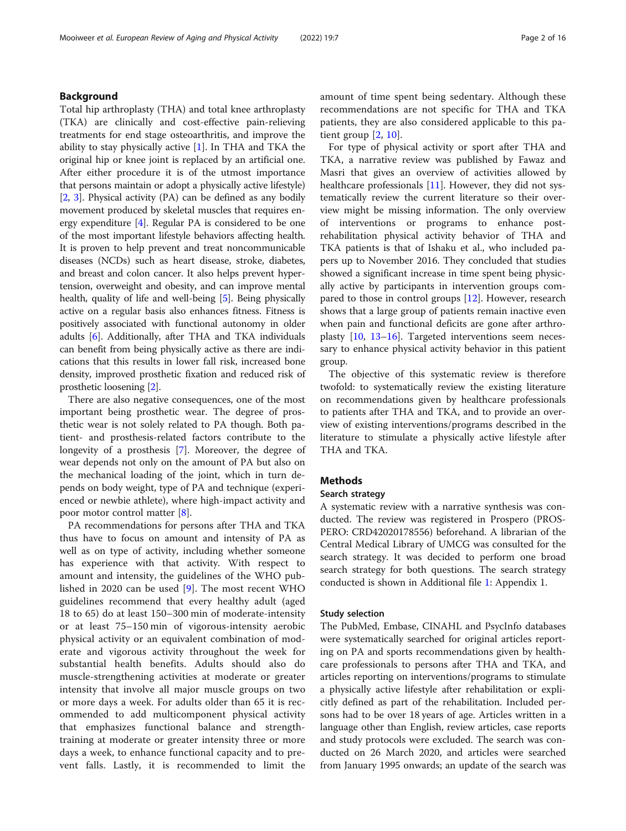# Background

Total hip arthroplasty (THA) and total knee arthroplasty (TKA) are clinically and cost-effective pain-relieving treatments for end stage osteoarthritis, and improve the ability to stay physically active [\[1](#page-14-0)]. In THA and TKA the original hip or knee joint is replaced by an artificial one. After either procedure it is of the utmost importance that persons maintain or adopt a physically active lifestyle) [[2,](#page-14-0) [3](#page-14-0)]. Physical activity (PA) can be defined as any bodily movement produced by skeletal muscles that requires energy expenditure [\[4](#page-14-0)]. Regular PA is considered to be one of the most important lifestyle behaviors affecting health. It is proven to help prevent and treat noncommunicable diseases (NCDs) such as heart disease, stroke, diabetes, and breast and colon cancer. It also helps prevent hypertension, overweight and obesity, and can improve mental health, quality of life and well-being [[5\]](#page-14-0). Being physically active on a regular basis also enhances fitness. Fitness is positively associated with functional autonomy in older adults [[6\]](#page-14-0). Additionally, after THA and TKA individuals can benefit from being physically active as there are indications that this results in lower fall risk, increased bone density, improved prosthetic fixation and reduced risk of prosthetic loosening [\[2](#page-14-0)].

There are also negative consequences, one of the most important being prosthetic wear. The degree of prosthetic wear is not solely related to PA though. Both patient- and prosthesis-related factors contribute to the longevity of a prosthesis [\[7](#page-14-0)]. Moreover, the degree of wear depends not only on the amount of PA but also on the mechanical loading of the joint, which in turn depends on body weight, type of PA and technique (experienced or newbie athlete), where high-impact activity and poor motor control matter [\[8](#page-14-0)].

PA recommendations for persons after THA and TKA thus have to focus on amount and intensity of PA as well as on type of activity, including whether someone has experience with that activity. With respect to amount and intensity, the guidelines of the WHO published in 2020 can be used [\[9](#page-14-0)]. The most recent WHO guidelines recommend that every healthy adult (aged 18 to 65) do at least 150–300 min of moderate-intensity or at least 75–150 min of vigorous-intensity aerobic physical activity or an equivalent combination of moderate and vigorous activity throughout the week for substantial health benefits. Adults should also do muscle-strengthening activities at moderate or greater intensity that involve all major muscle groups on two or more days a week. For adults older than 65 it is recommended to add multicomponent physical activity that emphasizes functional balance and strengthtraining at moderate or greater intensity three or more days a week, to enhance functional capacity and to prevent falls. Lastly, it is recommended to limit the amount of time spent being sedentary. Although these recommendations are not specific for THA and TKA patients, they are also considered applicable to this patient group  $[2, 10]$  $[2, 10]$  $[2, 10]$  $[2, 10]$ .

For type of physical activity or sport after THA and TKA, a narrative review was published by Fawaz and Masri that gives an overview of activities allowed by healthcare professionals [\[11\]](#page-14-0). However, they did not systematically review the current literature so their overview might be missing information. The only overview of interventions or programs to enhance postrehabilitation physical activity behavior of THA and TKA patients is that of Ishaku et al., who included papers up to November 2016. They concluded that studies showed a significant increase in time spent being physically active by participants in intervention groups compared to those in control groups [[12](#page-14-0)]. However, research shows that a large group of patients remain inactive even when pain and functional deficits are gone after arthroplasty [[10,](#page-14-0) [13](#page-14-0)–[16](#page-14-0)]. Targeted interventions seem necessary to enhance physical activity behavior in this patient group.

The objective of this systematic review is therefore twofold: to systematically review the existing literature on recommendations given by healthcare professionals to patients after THA and TKA, and to provide an overview of existing interventions/programs described in the literature to stimulate a physically active lifestyle after THA and TKA.

# Methods

# Search strategy

A systematic review with a narrative synthesis was conducted. The review was registered in Prospero (PROS-PERO: CRD42020178556) beforehand. A librarian of the Central Medical Library of UMCG was consulted for the search strategy. It was decided to perform one broad search strategy for both questions. The search strategy conducted is shown in Additional file [1](#page-13-0): Appendix 1.

## Study selection

The PubMed, Embase, CINAHL and PsycInfo databases were systematically searched for original articles reporting on PA and sports recommendations given by healthcare professionals to persons after THA and TKA, and articles reporting on interventions/programs to stimulate a physically active lifestyle after rehabilitation or explicitly defined as part of the rehabilitation. Included persons had to be over 18 years of age. Articles written in a language other than English, review articles, case reports and study protocols were excluded. The search was conducted on 26 March 2020, and articles were searched from January 1995 onwards; an update of the search was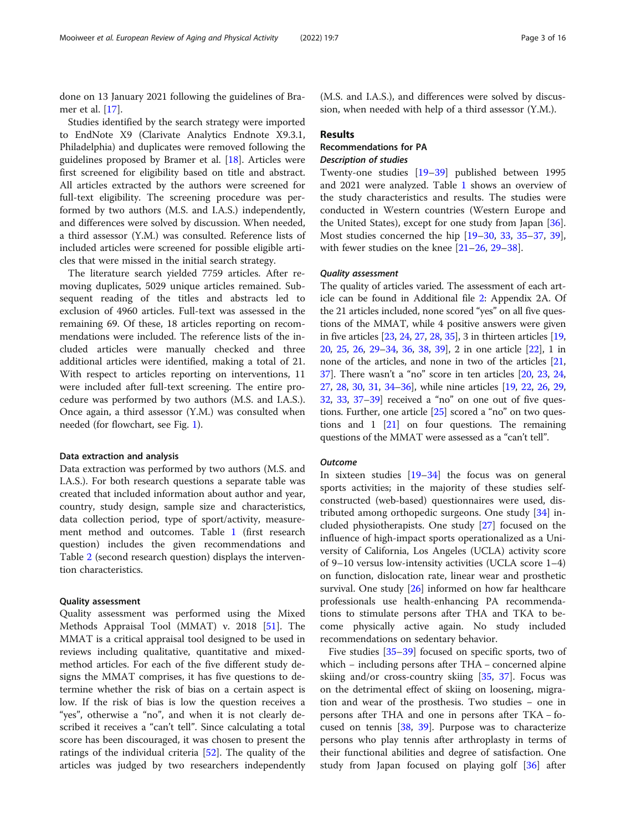done on 13 January 2021 following the guidelines of Bramer et al. [[17](#page-14-0)].

Studies identified by the search strategy were imported to EndNote X9 (Clarivate Analytics Endnote X9.3.1, Philadelphia) and duplicates were removed following the guidelines proposed by Bramer et al. [\[18\]](#page-14-0). Articles were first screened for eligibility based on title and abstract. All articles extracted by the authors were screened for full-text eligibility. The screening procedure was performed by two authors (M.S. and I.A.S.) independently, and differences were solved by discussion. When needed, a third assessor (Y.M.) was consulted. Reference lists of included articles were screened for possible eligible articles that were missed in the initial search strategy.

The literature search yielded 7759 articles. After removing duplicates, 5029 unique articles remained. Subsequent reading of the titles and abstracts led to exclusion of 4960 articles. Full-text was assessed in the remaining 69. Of these, 18 articles reporting on recommendations were included. The reference lists of the included articles were manually checked and three additional articles were identified, making a total of 21. With respect to articles reporting on interventions, 11 were included after full-text screening. The entire procedure was performed by two authors (M.S. and I.A.S.). Once again, a third assessor (Y.M.) was consulted when needed (for flowchart, see Fig. [1\)](#page-3-0).

# Data extraction and analysis

Data extraction was performed by two authors (M.S. and I.A.S.). For both research questions a separate table was created that included information about author and year, country, study design, sample size and characteristics, data collection period, type of sport/activity, measurement method and outcomes. Table [1](#page-4-0) (first research question) includes the given recommendations and Table [2](#page-8-0) (second research question) displays the intervention characteristics.

# Quality assessment

Quality assessment was performed using the Mixed Methods Appraisal Tool (MMAT) v. 2018 [\[51](#page-15-0)]. The MMAT is a critical appraisal tool designed to be used in reviews including qualitative, quantitative and mixedmethod articles. For each of the five different study designs the MMAT comprises, it has five questions to determine whether the risk of bias on a certain aspect is low. If the risk of bias is low the question receives a "yes", otherwise a "no", and when it is not clearly described it receives a "can't tell". Since calculating a total score has been discouraged, it was chosen to present the ratings of the individual criteria  $[52]$  $[52]$ . The quality of the articles was judged by two researchers independently

(M.S. and I.A.S.), and differences were solved by discussion, when needed with help of a third assessor (Y.M.).

# Results

# Recommendations for PA Description of studies

Twenty-one studies [\[19](#page-14-0)–[39\]](#page-15-0) published between 1995 and 2021 were analyzed. Table [1](#page-4-0) shows an overview of the study characteristics and results. The studies were conducted in Western countries (Western Europe and the United States), except for one study from Japan [\[36](#page-15-0)]. Most studies concerned the hip [[19](#page-14-0)–[30](#page-14-0), [33,](#page-15-0) [35](#page-15-0)–[37](#page-15-0), [39](#page-15-0)], with fewer studies on the knee [\[21](#page-14-0)–[26,](#page-14-0) [29](#page-14-0)–[38\]](#page-15-0).

# Quality assessment

The quality of articles varied. The assessment of each article can be found in Additional file [2:](#page-13-0) Appendix 2A. Of the 21 articles included, none scored "yes" on all five questions of the MMAT, while 4 positive answers were given in five articles [[23](#page-14-0), [24,](#page-14-0) [27](#page-14-0), [28,](#page-14-0) [35\]](#page-15-0), 3 in thirteen articles [[19](#page-14-0), [20](#page-14-0), [25](#page-14-0), [26,](#page-14-0) [29](#page-14-0)–[34,](#page-15-0) [36](#page-15-0), [38,](#page-15-0) [39\]](#page-15-0), 2 in one article [\[22\]](#page-14-0), 1 in none of the articles, and none in two of the articles [[21](#page-14-0), [37](#page-15-0)]. There wasn't a "no" score in ten articles [\[20,](#page-14-0) [23](#page-14-0), [24](#page-14-0), [27](#page-14-0), [28,](#page-14-0) [30](#page-14-0), [31](#page-14-0), [34](#page-15-0)–[36](#page-15-0)], while nine articles [[19](#page-14-0), [22,](#page-14-0) [26](#page-14-0), [29](#page-14-0), [32](#page-15-0), [33](#page-15-0), [37](#page-15-0)–[39\]](#page-15-0) received a "no" on one out of five questions. Further, one article [[25](#page-14-0)] scored a "no" on two questions and 1 [[21](#page-14-0)] on four questions. The remaining questions of the MMAT were assessed as a "can't tell".

## **Outcome**

In sixteen studies [[19](#page-14-0)–[34\]](#page-15-0) the focus was on general sports activities; in the majority of these studies selfconstructed (web-based) questionnaires were used, distributed among orthopedic surgeons. One study [[34](#page-15-0)] included physiotherapists. One study [[27\]](#page-14-0) focused on the influence of high-impact sports operationalized as a University of California, Los Angeles (UCLA) activity score of 9–10 versus low-intensity activities (UCLA score 1–4) on function, dislocation rate, linear wear and prosthetic survival. One study [[26\]](#page-14-0) informed on how far healthcare professionals use health-enhancing PA recommendations to stimulate persons after THA and TKA to become physically active again. No study included recommendations on sedentary behavior.

Five studies [[35](#page-15-0)–[39](#page-15-0)] focused on specific sports, two of which − including persons after THA − concerned alpine skiing and/or cross-country skiing [\[35](#page-15-0), [37\]](#page-15-0). Focus was on the detrimental effect of skiing on loosening, migration and wear of the prosthesis. Two studies − one in persons after THA and one in persons after TKA − focused on tennis [\[38](#page-15-0), [39\]](#page-15-0). Purpose was to characterize persons who play tennis after arthroplasty in terms of their functional abilities and degree of satisfaction. One study from Japan focused on playing golf [[36\]](#page-15-0) after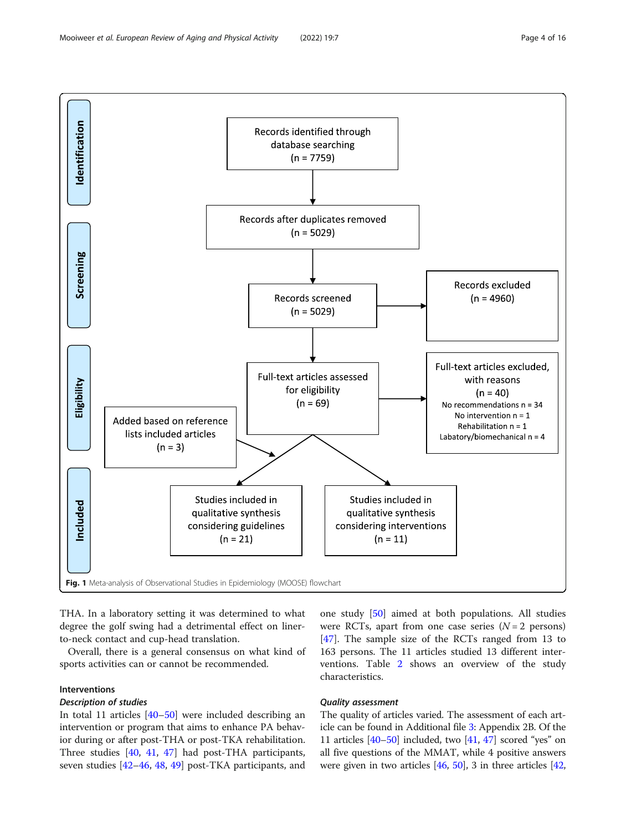<span id="page-3-0"></span>

THA. In a laboratory setting it was determined to what degree the golf swing had a detrimental effect on linerto-neck contact and cup-head translation.

Overall, there is a general consensus on what kind of sports activities can or cannot be recommended.

# Interventions

# Description of studies

In total 11 articles [[40](#page-15-0)–[50](#page-15-0)] were included describing an intervention or program that aims to enhance PA behavior during or after post-THA or post-TKA rehabilitation. Three studies [\[40](#page-15-0), [41,](#page-15-0) [47\]](#page-15-0) had post-THA participants, seven studies [[42](#page-15-0)–[46](#page-15-0), [48](#page-15-0), [49](#page-15-0)] post-TKA participants, and

one study [[50](#page-15-0)] aimed at both populations. All studies were RCTs, apart from one case series  $(N = 2$  persons) [[47\]](#page-15-0). The sample size of the RCTs ranged from 13 to 163 persons. The 11 articles studied 13 different interventions. Table [2](#page-8-0) shows an overview of the study characteristics.

# Quality assessment

The quality of articles varied. The assessment of each article can be found in Additional file [3:](#page-13-0) Appendix 2B. Of the 11 articles  $[40-50]$  $[40-50]$  $[40-50]$  $[40-50]$  included, two  $[41, 47]$  $[41, 47]$  $[41, 47]$  scored "yes" on all five questions of the MMAT, while 4 positive answers were given in two articles [[46](#page-15-0), [50](#page-15-0)], 3 in three articles [[42](#page-15-0),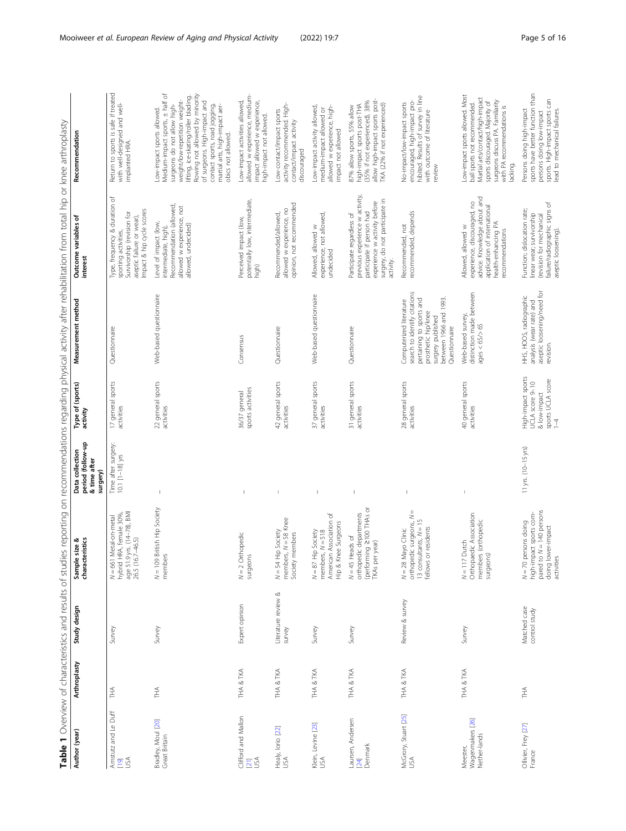<span id="page-4-0"></span>

|                                              |              |                               | J                                                                                                                    |                                                                  | יִ                                                                                          |                                                                                                                                                                            |                                                                                                                                                                          |                                                                                                                                                                                                                                                                                                                                 |
|----------------------------------------------|--------------|-------------------------------|----------------------------------------------------------------------------------------------------------------------|------------------------------------------------------------------|---------------------------------------------------------------------------------------------|----------------------------------------------------------------------------------------------------------------------------------------------------------------------------|--------------------------------------------------------------------------------------------------------------------------------------------------------------------------|---------------------------------------------------------------------------------------------------------------------------------------------------------------------------------------------------------------------------------------------------------------------------------------------------------------------------------|
| Author (year)                                | Arthroplasty | Study design                  | Sample size &<br>characteristics                                                                                     | period (follow-up<br>Data collection<br>& time after<br>surgery) | Type of (sports)<br>activity                                                                | Measurement method                                                                                                                                                         | Outcome variables of<br>interest                                                                                                                                         | Recommendation                                                                                                                                                                                                                                                                                                                  |
| Amstutz and Le Duff<br><b>Rau</b>            | È            | Survey                        | age 51.9 yrs. (14–78), BMI<br>26.5 (16.7–46.5)<br>HRA, female 30%<br>Metal-on-metal<br>hybrid<br>$N = 661$           | Time after surgery:<br>$10.1$ $[1-18]$ yrs                       | 17 general sports<br>activities                                                             | Questionnaire                                                                                                                                                              | Type, frequency & duration of<br>Impact & hip cycle scores<br>Survivorship (revision for<br>aseptic failure or wear),<br>sporting activities,                            | Return to sports is safe if treated<br>with well-designed and well-<br>implanted HRA.                                                                                                                                                                                                                                           |
| Bradley, Moul [20]<br>Great Britain          | 千<br>三       | Survey                        | N = 109 British Hip Society<br>members                                                                               | $\overline{\phantom{a}}$                                         | 22 general sports<br>activities                                                             | Web-based questionnaire                                                                                                                                                    | Recommendation (allowed,<br>allowed w experience, not<br>Level of impact (low,<br>allowed, undecided)<br>intermediate, high),                                            | Medium-impact sports, ± half of<br>Rowing not allowed by minority<br>lifting, ice-skating/roller blading<br>weight/low-repetition weight-<br>of surgeons. High-impact and<br>surgeons do not allow high-<br>contact sports, road jogging,<br>martial arts, high-impact aer-<br>Low-impact sports allowed.<br>obics not allowed. |
| Clifford and Mallon<br>USA<br>[21]           | THA & TKA    | Expert opinion                | $N = 2$ Orthopedic<br>surgeons                                                                                       |                                                                  | sports activities<br>36/37 general                                                          | Consensus                                                                                                                                                                  | potentially low, intermediate,<br>Perceived impact (low,<br>high)                                                                                                        | allowed w experience, medium-<br>Low-impact activities allowed,<br>impact allowed w experience,<br>high-impact not allowed.                                                                                                                                                                                                     |
| Healy, lorio [22]<br>USA                     | THA & TKA    | Literature review &<br>survey | members, $N = 58$ Knee<br>Hip Society<br>members<br>Society<br>$N=54$                                                |                                                                  | 42 general sports<br>activities                                                             | Questionnaire                                                                                                                                                              | opinion, not recommended<br>allowed w experience, no<br>Recommended/allowed,                                                                                             | activity recommended. High-<br>Low-contact/impact sports<br>contact/impact activity<br>discouraged                                                                                                                                                                                                                              |
| Klein, Levine [23]<br>USA                    | THA & TKA    | Survey                        | American Association of<br>Hip & Knee Surgeons<br><b>Hip Society</b><br>members, $N = 518$<br>$N=87$                 |                                                                  | 37 general sports<br>activities                                                             | Web-based questionnaire                                                                                                                                                    | experience, not allowed,<br>Allowed, allowed w<br>undecided                                                                                                              | Low-impact activity allowed,<br>allowed w experience, high-<br>medium-impact allowed or<br>impact not allowed                                                                                                                                                                                                                   |
| Laursen, Andersen<br>Denmark<br>$[24]$       | tha & tka    | Survey                        | (performing 2100 THAs or<br>orthopedic departments<br>Heads of<br>TKAs per year)<br>$N = 45$                         |                                                                  | 31 general sports<br>activities                                                             | Questionnaire                                                                                                                                                              | previous experience w activity,<br>experience w activity before<br>surgery, do not participate in<br>participate if person had<br>Participate regardless of<br>activity. | allow high-impact sports post-<br>(35% if not experienced), 38%<br>TKA (22% if not experienced)<br>high-impact sports post-THA<br>87% allow sports, 55% allow                                                                                                                                                                   |
| McGrory, Stuart [25]<br>USA                  | THA & TKA    | Review & survey               | $\mathbf{  }$<br>orthopedic surgeons, N<br>13 consultants, $N = 15$<br>fellows or residents<br>Mayo Clinic<br>$N=28$ | $\mathsf I$                                                      | 28 general sports<br>activities                                                             | search to identify citations<br>pertaining to sports and<br>between 1966 and 1993.<br>Computerized literature<br>prosthetic hip/knee<br>surgery published<br>Questionnaire | recommended, depends<br>Recommended, not                                                                                                                                 | hibited. Results of survey in line<br>encouraged, high-impact pro-<br>No-impact/low-impact sports<br>with outcome of literature<br>review                                                                                                                                                                                       |
| Wagenmakers [26]<br>Nether-lands<br>Meester, | THA & TKA    | Survey                        | Orthopaedic Association<br>members (orthopedic<br>$N = 117$ Dutch<br>surgeons)                                       | J.                                                               | 40 general sports<br>activities                                                             | distinction made between<br>Web-based survey,<br>$ages < 65$ $> 65$                                                                                                        | advice. Knowledge about and<br>experience, discouraged, no<br>application of international<br>health-enhancing PA<br>Allowed, allowed w<br>recommendations               | Low-impact sports allowed. Most<br>Martial arts/contact/high-impact<br>surgeons discuss PA Familiarity<br>sports discouraged. Majority of<br>ball sports not recommended.<br>with PA recommendations is<br>lacking.                                                                                                             |
| Ollivier, Frey [27]<br>France                | 千人           | Matched case<br>control study | pared to N = 140 persons<br>doing lower-impact<br>activities<br>high-impact sports com-<br>persons doing<br>$N = 70$ | 11 yrs. (10-15 yrs)                                              | High-impact sports<br>sports UCLA score<br>UCLA score 9-10<br>& low-impact<br>$\frac{1}{2}$ | aseptic loosening/need for<br>HHS, HOOS, radiographic<br>analysis (wear rate) and<br>revision.                                                                             | failure/radiographic signs of<br>Function; dislocation rate;<br>linear wear; survivorship<br>(revision for mechanical<br>aseptic loosening).                             | sports have better function than<br>sports. High-impact sports can<br>Persons doing high-impact<br>lead to mechanical failures.<br>persons doing low-impact                                                                                                                                                                     |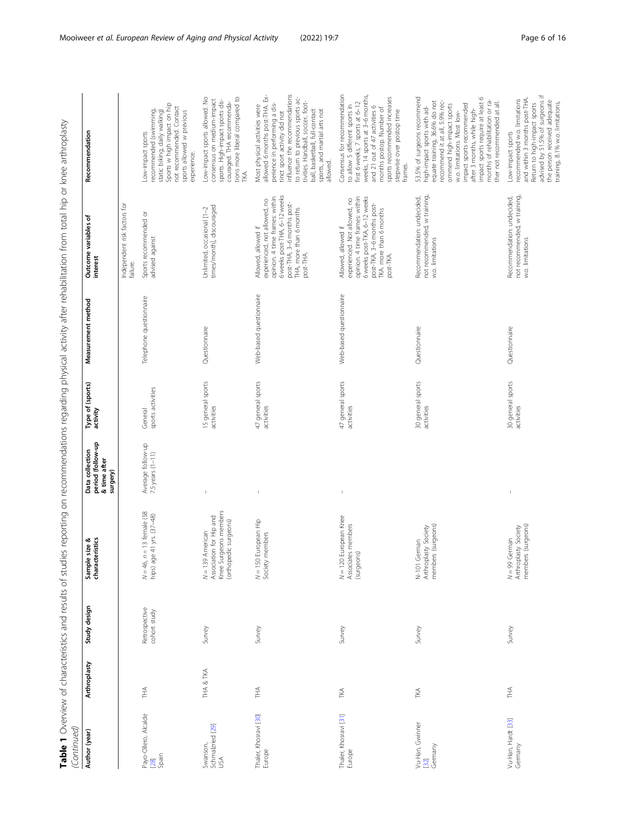| ŧ<br>֧֧֦֧֧֧֧֧֧֧֧֧֧֧֧֧֧֛֛֛֛֛֛֛֛֛֛֛֛֛֛֛֚֚֚֚֓֝֝֝֝֓֝֝֓֝֓֝֓֝֓֝֓֝֓֝֓֜֝֓֝֓֝֓֓֜֝֬֜֝֓֝֓֜֓֜֓֜֜֜                                                            |   |
|--------------------------------------------------------------------------------------------------------------------------------------------------|---|
| l<br>ļ<br>I<br>l                                                                                                                                 |   |
| j<br>l<br>:<br>١                                                                                                                                 |   |
| l<br>l<br>l<br>֚֬֕<br>j                                                                                                                          |   |
| ֖֖֖֖֖֖֖֖֖֧֖֖֧֖֖֧֧֪֪֪֧֪֪֧֪ׅ֧֧֚֚֚֚֚֚֚֚֚֚֚֚֚֚֚֚֚֚֚֚֚֚֚֚֚֬֝֝֓֞֝֓֞֞<br>Ï                                                                              |   |
| i                                                                                                                                                |   |
| $+ - + -$<br>١                                                                                                                                   |   |
| Ş                                                                                                                                                |   |
| i<br>ì<br>$\frac{1}{2}$                                                                                                                          |   |
| ١<br>$\frac{1}{2}$                                                                                                                               |   |
| l<br>J<br>d<br>j<br>ţ                                                                                                                            |   |
| ֕<br>j                                                                                                                                           |   |
| ļ<br>I<br>۱<br>$\overline{\phantom{a}}$<br>١                                                                                                     |   |
| Ì                                                                                                                                                |   |
| i<br>i                                                                                                                                           |   |
| i<br>١<br>ī<br>J<br>:                                                                                                                            |   |
| l<br>S<br>$\overline{ }$                                                                                                                         |   |
| j<br>١<br>j<br>ļ<br>5                                                                                                                            |   |
| i<br>5<br>5<br>$\overline{ }$<br>)<br>j                                                                                                          |   |
| くらい<br>$\vdots$<br>ļ                                                                                                                             |   |
| J<br>j<br>j<br>Ï<br>J<br>l<br>Ĵ                                                                                                                  |   |
| ļ<br>j                                                                                                                                           |   |
| j                                                                                                                                                |   |
| とうこうこう こうこうこう                                                                                                                                    |   |
| ١<br>J<br>$\overline{ }$                                                                                                                         |   |
| I                                                                                                                                                |   |
| ļ<br>l<br>J<br>l                                                                                                                                 |   |
| <b>CALC 2012</b><br>j<br>1<br>١                                                                                                                  |   |
| 5<br>$\frac{1}{\epsilon}$<br>ì<br>١<br>ŧ                                                                                                         |   |
| <sup>;</sup><br>$\frac{1}{2}$                                                                                                                    |   |
| ֧֖֧֧֧֪֧֪֧֧֧֪֪֚֚֚֚֚֚֚֚֚֚֚֚֚֚֚֚֚֚֚֚֝֝֝֝֝֓֝֬֝֓֝֬֝֬֝֓֝֬֝֓֝֬֝֬֝֬֝֬֝֬֝֬֝֬֝֬֝֬֝֬֝֬֝֬֝֬֝֬<br>l<br>j                                                      |   |
|                                                                                                                                                  |   |
| こうしょう ディー・スキッシュ<br>j                                                                                                                             |   |
| ֧֧֧֧֧֛֧֧֧֧֧֧֧֧֧֧֧֧֛֚֚֝֝֘֝֓֝֓֕֝֬֝֓֝֓֝֬֝֓֝֬֝֓֝֬֝֓֝֬֝֓֝֬֝֓֝֬֝֓֝֬֝֓֝֬֝֓֝֬֝֓֝֓֝֬֝֓֝֬֝֬֝֓֝֬֝֓֝֬֝֬֝֬֝֬֝֝<br>֧֧֧֧֧֧֧֧֧֛֪֛֪֪ׅ֛֪֛֪֛֪֪ׅ֛֚֚֚֚֚֚֚֚֚֝֝֓֝֝֝֝֝֝֝ |   |
| j<br>l                                                                                                                                           |   |
| j                                                                                                                                                |   |
|                                                                                                                                                  |   |
|                                                                                                                                                  |   |
|                                                                                                                                                  |   |
|                                                                                                                                                  | I |
|                                                                                                                                                  |   |

| Author (year)                         | Arthroplasty | Study design                  | Sample size &<br>characteristics                                                                | period (follow-up<br>Data collection<br>& time after<br>surgery) | Type of (sports)<br>activity    | Measurement method      | Outcome variables of<br>interest                                                                                                                                                            | Recommendation                                                                                                                                                                                                                                                                                                                                               |
|---------------------------------------|--------------|-------------------------------|-------------------------------------------------------------------------------------------------|------------------------------------------------------------------|---------------------------------|-------------------------|---------------------------------------------------------------------------------------------------------------------------------------------------------------------------------------------|--------------------------------------------------------------------------------------------------------------------------------------------------------------------------------------------------------------------------------------------------------------------------------------------------------------------------------------------------------------|
|                                       |              |                               |                                                                                                 |                                                                  |                                 |                         | Independent risk factors for<br>failure.                                                                                                                                                    |                                                                                                                                                                                                                                                                                                                                                              |
| Payo-Ollero, Alcalde<br>[28]<br>Spain | 手            | Retrospective<br>cohort study | $N = 46$ , $n = 13$ female (58<br>hips) age 41 yrs. (37-48)                                     | Average follow-up<br>7.5 years (1-11)                            | sports activities<br>General    | Telephone questionnaire | Sports recommended or<br>advised against                                                                                                                                                    | Sports w high impact on hip<br>not recommended. Contact<br>recommended (swimming,<br>static biking, daily walking)<br>sports allowed w previous<br>Low-impact sports<br>experience.                                                                                                                                                                          |
| Schmalzried [29]<br>USA<br>Swanson,   | THA & TKA    | Survey                        | Knee Surgeons members<br>Association for Hip and<br>(orthopedic surgeons)<br>$N = 139$ American | $\overline{1}$                                                   | 15 general sports<br>activities | Questionnaire           | times/month], discouraged<br>Unlimited, occasional [1-2                                                                                                                                     | tions more liberal compared to<br>Low-impact sports allowed. No<br>consensus on medium-impact<br>sports. High-impact sports dis-<br>couraged. THA recommenda-<br>TKA.                                                                                                                                                                                        |
| Thaler, Khosravi [30]<br>Europe       | È            | Survey                        | N = 150 European Hip<br>Society members                                                         |                                                                  | 47 general sports<br>activities | Web-based questionnaire | 6 weeks post-THA, 6-12 weeks<br>opinion. 4 time frames: within<br>experienced, not allowed, no<br>post-THA, 3-6 months post-<br>THA, more than 6 months<br>Allowed, allowed if<br>post-THA. | influence the recommendations<br>allowed 6 months post-THA. Ex-<br>to return to previous sports ac-<br>tivities. Handball, soccer, foot-<br>perience in performing a dis-<br>Most physical activities were<br>sports, and martial arts not<br>ball, basketball, full-contact<br>tinct sport activity did not<br>allowed.                                     |
| Thaler, Khosravi [31]<br>Europe       | TKA          | Survey                        | $N = 120$ European Knee<br>Associates members<br>(surgeons)                                     | $\,$ $\,$                                                        | 47 general sports<br>activities | Web-based questionnaire | opinion. 4 time frames: within<br>6 weeks post-TKA, 6-12 weeks<br>experienced. Not allowed, no<br>post-TKA, 3-6 months post-<br>TKA, more than 6 months<br>Allowed, allowed if<br>post-TKA. | Consensus for recommendation<br>weeks, 14 sports at 3-6 months,<br>sports recommended increases<br>first 6 weeks, 7 sports at 6-12<br>to allow 5 different sports in<br>and 21 out of 47 activities 6<br>months postop. Number of<br>stepwise over postop time<br>frames.                                                                                    |
| Vu-Han, Gwinner<br>[32]<br>Germany    | TKA          | Survey                        | members (surgeons)<br>Arthroplasty Society<br>German<br>$N-101$                                 |                                                                  | 30 general sports<br>activities | Questionnaire           | not recommended, w training,<br>Recommendation: undecided,<br>w.o. limitations                                                                                                              | impact sports require at least 6<br>53.5% of surgeons recommend<br>months of rehabilitation or ra-<br>equate training, 36.6% do not<br>recommend it at all, 5.9% rec-<br>ther not recommended at all.<br>impact sports recommended<br>ommend high-impact sports<br>high-impact sports with ad-<br>after 3 months, while high-<br>w.o. limitations. Most low- |
| Vu-Han, Hardt [33]<br>Germany         | Ě            | Survey                        | members (surgeons)<br>Arthroplasty Society<br>$N = 99$ German                                   |                                                                  | 30 general sports<br>activities | Questionnaire           | not recommended, w training,<br>Recommendation: undecided,<br>w.o. limitations                                                                                                              | advised by 51.5% of surgeons if<br>and within 3 months post-THA.<br>recommended w.o. limitations<br>the person received adequate<br>training, 8.1% w.o. limitations,<br>Return to high-impact sports<br>Low-impact sports                                                                                                                                    |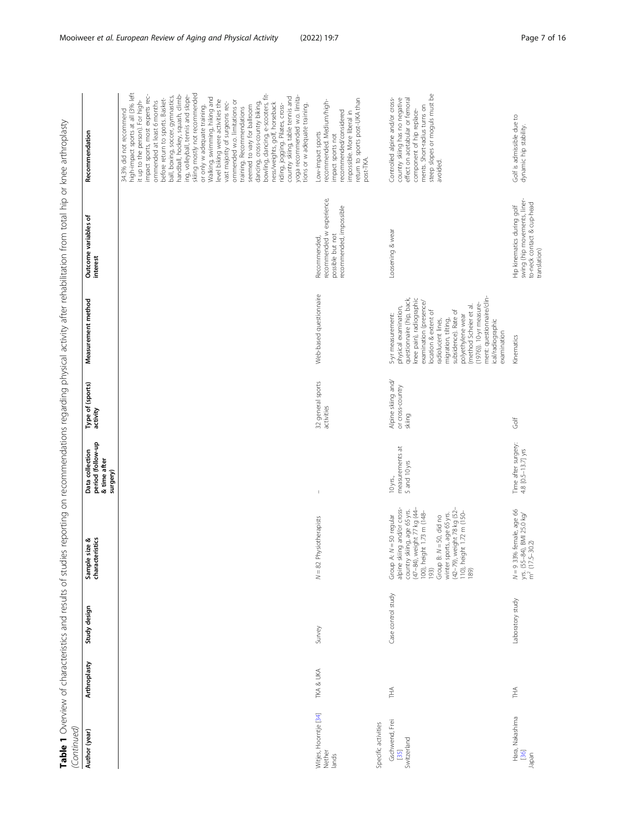| i                                                                                                                |                  |
|------------------------------------------------------------------------------------------------------------------|------------------|
| 5<br>į<br>l                                                                                                      |                  |
| ļ                                                                                                                |                  |
| l<br>١                                                                                                           |                  |
| ׇ֖֖֚֚֚֚֚֬֕<br>Ì                                                                                                  |                  |
|                                                                                                                  |                  |
| 5<br>į<br>İ                                                                                                      |                  |
| ١                                                                                                                |                  |
| ۱                                                                                                                |                  |
|                                                                                                                  |                  |
| ١                                                                                                                |                  |
| Ì                                                                                                                |                  |
| s<br>S<br>I                                                                                                      |                  |
|                                                                                                                  |                  |
| j<br>٦<br>5                                                                                                      |                  |
|                                                                                                                  |                  |
| $+2$                                                                                                             |                  |
|                                                                                                                  |                  |
| s<br>S                                                                                                           |                  |
|                                                                                                                  |                  |
| I                                                                                                                |                  |
| I<br>١                                                                                                           |                  |
|                                                                                                                  |                  |
| į                                                                                                                |                  |
|                                                                                                                  |                  |
| I<br>İ                                                                                                           |                  |
|                                                                                                                  |                  |
| d                                                                                                                |                  |
| ì                                                                                                                |                  |
| l<br>I                                                                                                           |                  |
| $\frac{1}{4}$<br>j                                                                                               |                  |
|                                                                                                                  |                  |
|                                                                                                                  |                  |
| ĺ                                                                                                                |                  |
| 5<br>$-100$                                                                                                      |                  |
| 5                                                                                                                |                  |
| ٦                                                                                                                |                  |
| j                                                                                                                |                  |
| ١                                                                                                                |                  |
| 1                                                                                                                |                  |
| $\zeta$<br>)                                                                                                     |                  |
| $\mathcal{L}$<br>5                                                                                               |                  |
| i                                                                                                                |                  |
| こと<br>۱                                                                                                          |                  |
| ١                                                                                                                |                  |
| i<br>١<br>$\overline{)}$                                                                                         |                  |
| :<br>J                                                                                                           |                  |
| i                                                                                                                |                  |
| $\frac{1}{2}$<br>ļ                                                                                               |                  |
| $\frac{1}{2}$                                                                                                    |                  |
| 5<br>ׇ֚֘                                                                                                         |                  |
| j                                                                                                                |                  |
| ļ<br>I                                                                                                           |                  |
|                                                                                                                  |                  |
|                                                                                                                  |                  |
| i                                                                                                                |                  |
|                                                                                                                  |                  |
| 5)                                                                                                               |                  |
| J<br>1                                                                                                           |                  |
|                                                                                                                  |                  |
| S<br>S<br>S<br>S<br>S<br>S<br>S<br>S<br>S<br>S<br>S<br><br><br><br><br><br><br><br><br><br><br><br><br><br><br>١ |                  |
|                                                                                                                  |                  |
| ؚ<br>م<br>١                                                                                                      |                  |
| ļ                                                                                                                |                  |
|                                                                                                                  |                  |
| t<br>Ç<br>į                                                                                                      |                  |
| J<br>1                                                                                                           |                  |
| į                                                                                                                |                  |
| ă                                                                                                                |                  |
| $\frac{1}{2}$                                                                                                    |                  |
| $\overline{\zeta}$<br>ś                                                                                          |                  |
| )                                                                                                                |                  |
| i<br>+<br>ļ                                                                                                      |                  |
| Ċ                                                                                                                |                  |
| j<br>į                                                                                                           |                  |
| S<br>i                                                                                                           |                  |
| j                                                                                                                |                  |
|                                                                                                                  |                  |
|                                                                                                                  |                  |
| I<br>j                                                                                                           |                  |
|                                                                                                                  |                  |
| i<br>i                                                                                                           |                  |
| ١                                                                                                                |                  |
| $\frac{1}{3}$<br>ì                                                                                               |                  |
| Ï                                                                                                                |                  |
| $\overline{1}$                                                                                                   |                  |
| ļ<br>j<br>ì                                                                                                      |                  |
| İ<br>١<br>į                                                                                                      |                  |
| ١                                                                                                                |                  |
|                                                                                                                  |                  |
|                                                                                                                  |                  |
|                                                                                                                  |                  |
|                                                                                                                  |                  |
| į                                                                                                                |                  |
|                                                                                                                  |                  |
| ۱                                                                                                                |                  |
|                                                                                                                  | ׇ֖֖֖֚֚֚֚֬֝֬      |
|                                                                                                                  | ١                |
|                                                                                                                  |                  |
|                                                                                                                  |                  |
|                                                                                                                  | ֚֚֬<br>ׇ֚֡֝<br>I |

| (Continued)                                                   |              |                    |                                                                                                                                                                                                                                                                                           |                                                                  |                                                  |                                                                                                                                                                                                                                                                                                                                                                       |                                                                                                          |                                                                                                                                                                                                                                                                                                                                                                                                                                                                                                                                                                                                                                                                                                                                                                                                                                              |
|---------------------------------------------------------------|--------------|--------------------|-------------------------------------------------------------------------------------------------------------------------------------------------------------------------------------------------------------------------------------------------------------------------------------------|------------------------------------------------------------------|--------------------------------------------------|-----------------------------------------------------------------------------------------------------------------------------------------------------------------------------------------------------------------------------------------------------------------------------------------------------------------------------------------------------------------------|----------------------------------------------------------------------------------------------------------|----------------------------------------------------------------------------------------------------------------------------------------------------------------------------------------------------------------------------------------------------------------------------------------------------------------------------------------------------------------------------------------------------------------------------------------------------------------------------------------------------------------------------------------------------------------------------------------------------------------------------------------------------------------------------------------------------------------------------------------------------------------------------------------------------------------------------------------------|
| Author (year)                                                 | Arthroplasty | Study design       | Sample size &<br>characteristics                                                                                                                                                                                                                                                          | period (follow-up<br>Data collection<br>& time after<br>surgery) | Type of (sports)<br>activity                     | Measurement method                                                                                                                                                                                                                                                                                                                                                    | Outcome variables of<br>interest                                                                         | Recommendation                                                                                                                                                                                                                                                                                                                                                                                                                                                                                                                                                                                                                                                                                                                                                                                                                               |
|                                                               |              |                    |                                                                                                                                                                                                                                                                                           |                                                                  |                                                  |                                                                                                                                                                                                                                                                                                                                                                       |                                                                                                          | high-impact sports at all (3% left<br>skiing mostly not recommended<br>bowling, dancing, e-scooters, fit-<br>impact sports, most experts rec-<br>handball, hockey, squash, climb-<br>ing, volleyball, tennis and slope-<br>yoga recommended w.o. limita-<br>ball, boxing, soccer, gymnastics,<br>country skiing, table tennis and<br>Walking, swimming, hiking and<br>before return to sports. Basket-<br>it up to the person). For high-<br>level biking were activities the<br>ommended w.o. limitations or<br>ommended at least 6 months<br>vast majority of surgeons rec-<br>dancing, cross-country biking,<br>ness/weights, golf, horseback<br>riding, jogging. Pilates, cross-<br>tions or w adequate training.<br>seemed to vary for ballroom<br>or only w adequate training.<br>training. Recommendations<br>34.3% did not recommend |
| Vitjes, Hoorntje [34]<br>pecific activities<br>Nether<br>ands | TKA & UKA    | Survey             | $N = 82$ Physiotherapists                                                                                                                                                                                                                                                                 | $\mathbb{I}$                                                     | 32 general sports<br>activities                  | Web-based questionnaire                                                                                                                                                                                                                                                                                                                                               | recommended w experience,<br>recommended, impossible<br>possible but not<br>Recommended,                 | return to sports post-UKA than<br>recommended. Medium/high-<br>recommended/considered<br>impossible. More liberal in<br>Low-impact sports<br>impact sports not<br>post-TKA.                                                                                                                                                                                                                                                                                                                                                                                                                                                                                                                                                                                                                                                                  |
| Gschwend, Frei<br>Switzerland<br>$[35]$                       | 千            | Case control study | alpine skiing and/or cross-<br>country skiing, age 65 yrs.<br>(47–84), weight 77 kg (44–<br>100), height 1.73 m (148–<br>193)<br>winter sports, age 65 yrs.<br>(42–79), weight 78 kg (52–<br>110), height 1.72 m (150–<br>189)<br>Group A: $N = 50$ regular<br>Group B: $N = 50$ , did no | measurements at<br>5 and 10 yrs<br>10 yrs.,                      | Alpine skiing and/<br>or cross-country<br>skiing | ment: questionnaire/clin-<br>questionnaire (hip, back,<br>knee pain), radiographic<br>examination (presence/<br>(1976)). 10-yr measure-<br>(method Scheier et al.<br>physical examination,<br>subsidence). Rate of<br>location & extent of<br>5-yr measurement:<br>polyethylene wear<br>migration, tilting,<br>radiolucent lines,<br>ical/radiographic<br>examination | Loosening & wear                                                                                         | steep slopes or moguls must be<br>Controlled alpine and/or cross-<br>country skiing has no negative<br>effect on acetabular or femoral<br>ments. Short-radius turns on<br>component of hip replace-<br>avoided.                                                                                                                                                                                                                                                                                                                                                                                                                                                                                                                                                                                                                              |
| Hara, Nakashima<br>36<br>lapan                                | ΗÃ           | Laboratory study   | N = 9 33% female, age 66<br>yrs. (55–84), BMI 25.0 kg/<br>m <sup>2</sup> (17.5–30.2)                                                                                                                                                                                                      | Time after surgery:<br>4.8 [0.5-13.7] yrs                        | Golf                                             | Kinematics                                                                                                                                                                                                                                                                                                                                                            | swing (hip movements, liner-<br>to-neck contact & cup-head<br>Hip kinematics during golf<br>translation) | Golf is admissible due to<br>dynamic hip stability.                                                                                                                                                                                                                                                                                                                                                                                                                                                                                                                                                                                                                                                                                                                                                                                          |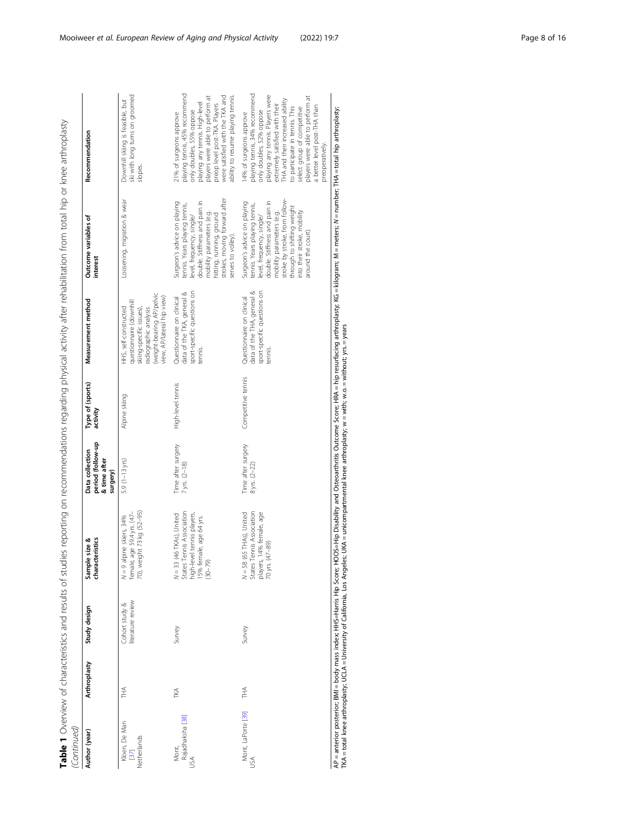Table 1 Overview of characteristics and results of studies reporting on recommendations regarding physical activity after rehabilitation from total hip or knee arthroplasty Table 1 Overview of characteristics and results of studies reporting on recommendations regarding physical activity after rehabilitation from total hip or knee arthroplasty  $\tilde{z}$ in<br>Continu

| Continued)                           |              |                                    |                                                                                                                           |                                                                  |                              |                                                                                                                                                                 |                                                                                                                                                                                                                                                                             |                                                                                                                                                                                                                                                                                                                                   |
|--------------------------------------|--------------|------------------------------------|---------------------------------------------------------------------------------------------------------------------------|------------------------------------------------------------------|------------------------------|-----------------------------------------------------------------------------------------------------------------------------------------------------------------|-----------------------------------------------------------------------------------------------------------------------------------------------------------------------------------------------------------------------------------------------------------------------------|-----------------------------------------------------------------------------------------------------------------------------------------------------------------------------------------------------------------------------------------------------------------------------------------------------------------------------------|
| Author (year)                        | Arthroplasty | Study design                       | size &<br>characteristics<br>Sample                                                                                       | period (follow-up<br>Data collection<br>& time after<br>surgery) | Type of (sports)<br>activity | Measurement method                                                                                                                                              | Outcome variables of<br>interest                                                                                                                                                                                                                                            | Recommendation                                                                                                                                                                                                                                                                                                                    |
| Kloen, De Man<br>Netherlands<br>[37] | THA<br>T     | iterature review<br>Cohort study & | age 59.4 yrs. (47-<br>70), weight 73 kg (52-95)<br>pine skiers, 34%<br>$N = 9$ al<br>female,                              | 5.9 $(1-13$ yrs)                                                 | Alpine skiing                | (weight-bearing AP/pelvic<br>view, AP/lateral hip view)<br>questionnaire (downhill<br>HHS, self-constructed<br>radiographic analysis<br>skiing-specific issues) | Loosening, migration & wear                                                                                                                                                                                                                                                 | ski with long turns on groomed<br>Downhill skiing is feasible, but<br>slopes.                                                                                                                                                                                                                                                     |
| Rajadhaksha [38]<br>Mont,<br>USA     | TKA          | Survey                             | N = 33 (46 TKAs), United<br>States Tennis Association<br>high-level tennis players,<br>15% female, age 64 yrs.<br>(30–79) | Time after surgery<br>7 yrs. (2-18)                              | High-level tennis            | sport-specific questions on<br>data of the TKA, general &<br>Questionnaire on clinical<br>tennis.                                                               | strokes, moving forward after<br>double. Stiffness and pain in<br>Surgeon's advice on playing<br>tennis. Years playing tennis,<br>mobility parameters (e.g.<br>hitting, running, ground<br>level, frequency, single/<br>serves to volley).                                  | playing tennis, 45% recommend<br>ability to resume playing tennis.<br>players were able to perform at<br>were satisfied with the TKA and<br>playing any tennis. High-level<br>preop level post-TKA. Players<br>only doubles, 55% oppose<br>21% of surgeons approve                                                                |
| Mont, LaPorte [39]<br>JSA            | THA          | Survey                             | $N = 58$ (65 THAs), United<br>States Tennis Association<br>14% female, age<br>players, 14% fe<br>70 yrs. (47–89)          | Time after surgery<br>$8$ yrs. $(2-22)$                          | Competitive tennis           | data of the THA, general &<br>sport-specific questions on<br>Questionnaire on clinical<br>tennis.                                                               | stroke by stroke, from follow-<br>double. Stiffness and pain in<br>Surgeon's advice on playing<br>tennis. Years playing tennis,<br>through to shifting weight<br>mobility parameters (e.g.<br>into their stroke, mobility<br>level, frequency, single/<br>around the court) | playing tennis, 34% recommend<br>only doubles, 52% oppose<br>playing any tennis. Players were<br>players were able to perform at<br>IHA and their increased ability<br>extremely satisfied with their<br>a better level post-THA than<br>select group of competitive<br>to participate in tennis. This<br>14% of surgeons approve |

AP = anterior posterior; BMI = body mass index; HHS=Harris Hip Score; HQOS=Hip Disability and Osteoarthritis Outcome Score; HRA = hip resurfacing arthroplasty; KG = kilogram; M = meters; N = number; THA = total hip arthrop AP = anterior posterior; BMI = body mass index; HHS=Harris Hp Score; HOOS=Hip Disability and Osteoarthritis Outcome Score; HRA = hip resurfacing arthroplasty; KG= kilogram; M = meters; N = number; THA = total hip arthropla TKA = total knee arthroplasty; UCLA = University of California, Los Angeles; UKA = unicompartmental knee arthroplasty; w = with; w.o. = without; yrs. = years

preoperatively.

preoperatively.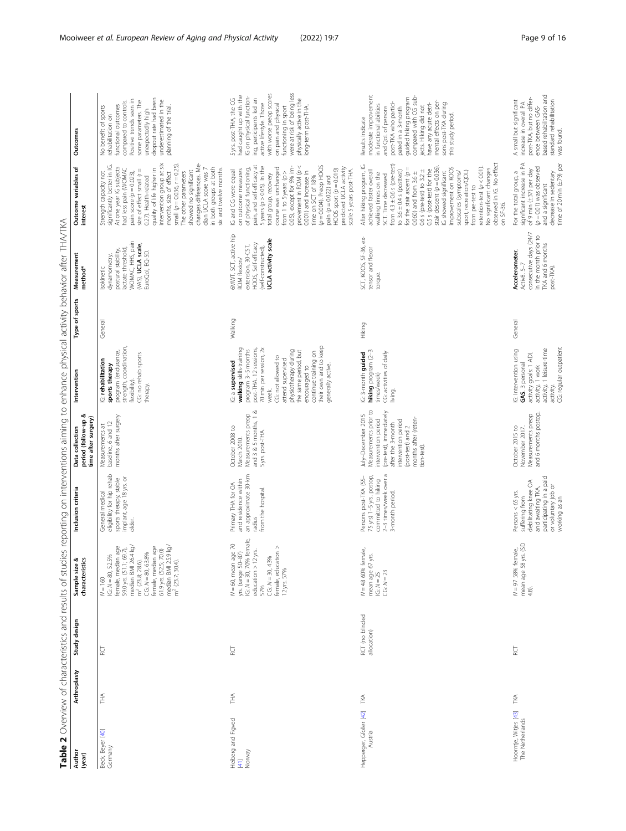<span id="page-8-0"></span>

| Author<br>(year)                             | Arthroplasty | Study design                   | characteristics<br>Sample size &                                                                                                                                                                                                                                                                        | Inclusion criteria                                                                                                                                 | period (follow-up &<br>time after surgery)<br>D<br>=<br>=<br>Data collection                                                                                                                          | Intervention                                                                                                                                                                                                                                                                                                   | Type of sports | Measurement<br>method <sup>*</sup>                                                                                                     | Outcome variables of<br>interest                                                                                                                                                                                                                                                                                                                                                                                                                                                                                                                            | Outcomes                                                                                                                                                                                                                                                                                                             |
|----------------------------------------------|--------------|--------------------------------|---------------------------------------------------------------------------------------------------------------------------------------------------------------------------------------------------------------------------------------------------------------------------------------------------------|----------------------------------------------------------------------------------------------------------------------------------------------------|-------------------------------------------------------------------------------------------------------------------------------------------------------------------------------------------------------|----------------------------------------------------------------------------------------------------------------------------------------------------------------------------------------------------------------------------------------------------------------------------------------------------------------|----------------|----------------------------------------------------------------------------------------------------------------------------------------|-------------------------------------------------------------------------------------------------------------------------------------------------------------------------------------------------------------------------------------------------------------------------------------------------------------------------------------------------------------------------------------------------------------------------------------------------------------------------------------------------------------------------------------------------------------|----------------------------------------------------------------------------------------------------------------------------------------------------------------------------------------------------------------------------------------------------------------------------------------------------------------------|
| Beck, Beyer [40]<br>Germany                  | Ě            | RCT                            | 59.0 yrs. (51.1; 69.7),<br>median BMI 26.4 kg/<br>61.9 yrs. (52.5; 70.0)<br>median BMI 25.9 kg/<br>m <sup>2</sup> (23.7; 30.4).<br>female, median age<br>median un:<br>m <sup>2</sup> (23.8; 28.6).<br>CG. N = 80, 63.8%<br>female, median age<br>female, median age<br>G: $N = 80, 52.5%$<br>$N = 160$ | eligibility for hip rehab<br>implant, age 18 yrs. or<br>sports therapy, stable<br>General medical<br>older.                                        | months after surgery<br>baseline, 6 and 12<br>Measurements at                                                                                                                                         | strength, coordination,<br>program (endurance,<br>CG: no rehab sports<br>G: rehabilitation<br>sports therapy<br>flexibility).<br>therapy.                                                                                                                                                                      | General        | WOMAC, HHS, pain<br>(VAS), UCLA scale,<br>lactate threshold<br>postural stability,<br>EuroQol, EQ-5D<br>dynamometry,<br>Isokinetic     | changes differences. Me-<br>intervention group at six<br>months, size of effect<br>small $(p = 0.036, r = 0.25)$<br>significantly better in IG.<br>At one year IG subjects<br>in both groups at both<br>had less pain (WOMAC<br>quality of life higher in<br>dian UCLA score was 7<br>six and twelve months<br>size of effect small (r =<br>showed no significant<br>The other parameters<br>Strength capacity not<br>pain score ( $p = 0.023$ ),<br>0.27). Health-related                                                                                  | dropout rate had been<br>underestimated in the<br>Positive trends seen in<br>some parameters. The<br>compared to controls.<br>functional outcomes<br>planning of the trial.<br>No benefit of sports<br>unexpectedly high<br>rehabilitation on                                                                        |
| Heiberg and Figved<br>$[41]$<br>Norway       | 舌            | RCT                            | $N = 60$ , mean age 70<br>yrs. (range 50–87)<br>IG: $N = 30$ , 70% female,<br>$CG: N = 30, 43%$<br>female, education ><br>education > 12 yrs.<br>12 yrs. 57%<br>57%                                                                                                                                     | an approximate 30-km<br>Primary THA for OA<br>and residence within<br>from the hospital.<br>radius                                                 | Measurements preop<br>and 3 & 5 months, 1 &<br>October 2008 to<br>5 yrs. post-THA.<br>March 2010.                                                                                                     | their own and to keep<br>walking skills-training<br>post-THA. 12 sessions,<br>70 min per session, 2<br>program 3-5 months<br>physiotherapy during<br>the same period, but<br>continue training on<br>CG: not allowed to<br>attend supervised<br>G: a supervised<br>generally active.<br>encouraged to<br>week, | Walking        | 6MWT, SCT, active hip<br><b>UCLA</b> activity scale<br>extension, 30-CST,<br>HOOS, Self-efficacy<br>(self-constructed)<br>ROM flexion/ | provement in ROM $(p <$<br>$(p = 0.004)$ . Preop HOOS<br>pain, and self-efficacy at<br>5 years $(p > 0.05)$ . In the<br>0.05), except for 9% im-<br>predicted UCLA activity<br>of physical functioning,<br>course was unchanged<br>HOOS sport $(p = 0.019)$<br>on outcome measures<br>scale 5 years post-THA<br>IG and CG were equal<br>0.001) and increase in<br>from 1 to 5 years ( $p >$<br>total group, recovery<br>time on SCT of 18%<br>pain ( $p = 0.022$ ) and                                                                                      | were at risk of being less<br>with worse preop scores<br>had caught up with the<br>IG on physical function-<br>ing, participants led an<br>5 yrs. post-THA, the CG<br>physically active in the<br>active lifestyle. Those<br>on pain and physical<br>long-term post-THA.<br>functioning in sport                     |
| Hepperger, Gfoller [42] TKA<br>Austria       |              | RCT (no blinded<br>allocation) | N = 48 60% female,<br>mean age 67 yrs.<br>IG: $N = 25$<br>CG: $N = 23$                                                                                                                                                                                                                                  | 2-3 times/week over a<br>75 yrs) 1-5 yrs. postop,<br>committed to hiking<br>Persons post-TKA (55-<br>3-month period.                               | Measurements prior to<br>(pre-test), immediately<br>July-December 2015<br>months after (reten-<br>intervention period<br>intervention period<br>after the 3-month<br>(post-test) and 2<br>tion-test). | <b>hiking</b> program (2-3<br>times/week)<br>G: 3-month guided<br>CG: activities of daily<br>living.                                                                                                                                                                                                           | Hiking         | SCT, KOOS, SF-36, ex-<br>tensor and flexor<br>torque.                                                                                  | observed in IG. No effect<br>from $4.3 \pm 0.6$ s (pre-test)<br>After hiking program, IG<br>retention-test $(p < 0.01)$ .<br>stair descent $(p = 0.036)$<br>improvement on KOOS<br>for the stair ascent $(p =$<br>No significant changes<br>0.5 s (post-test) for the<br>to $3.6 \pm 0.4$ s (posttest)<br>0.6 s (pre-test) to $3.2 \pm$<br>achieved faster overall<br>sport, recreation/QOL)<br>$0.060$ and from $3.6 \pm$<br>IG showed significant<br>subscales (symptoms/<br>walking times on the<br>SCT. Time decreased<br>from pre-test to<br>on SF-36. | moderate improvement<br>guided hiking program<br>compared with CG sub-<br>mental effects on per-<br>post-TKA who partici-<br>have any acute detri-<br>sons post-TKA during<br>in functional abilities<br>jects. Hiking did not<br>and QoL of persons<br>pated in a 3-month<br>this study period.<br>Results indicate |
| Hoorntje, Witjes [43] TKA<br>The Netherlands |              | Ĕ                              | mean age 58 yrs. (SD<br>$N = 97$ 58% female,<br>4.8).                                                                                                                                                                                                                                                   | participating in a paid<br>debilitating knee OA<br>or voluntary job or<br>and awaiting TKA,<br>Persons <65 yrs.<br>suffering from<br>working as an | and 6 months postop.<br>Measurements preop<br>October 2015 to<br>November 2017.                                                                                                                       | CG: regular outpatient<br>IG: Intervention using<br><b>GAS</b> . 3 personal<br>activity, 1 leisure-time<br>activity goals: 1 ADL<br>activity, 1 work<br>activity.                                                                                                                                              | General        | consecutive days (24/7<br>in the month prior to<br>TKA and 6 months<br>Accelerometer,<br>Activ8. 5-7<br>post-TKA).                     | significant increase in PA<br>time of 20 min $(\pm 79)$ per<br>$(p = 0.01)$ was observed<br>of 9 min (±37) per day<br>decrease in sedentary<br>For the total group, a<br>and a significant                                                                                                                                                                                                                                                                                                                                                                  | based rehabilitation and<br>post-TKA, but no differ-<br>A small but significant<br>standard rehabilitation<br>increase in overall PA<br>ence between GAS-<br>was found.                                                                                                                                              |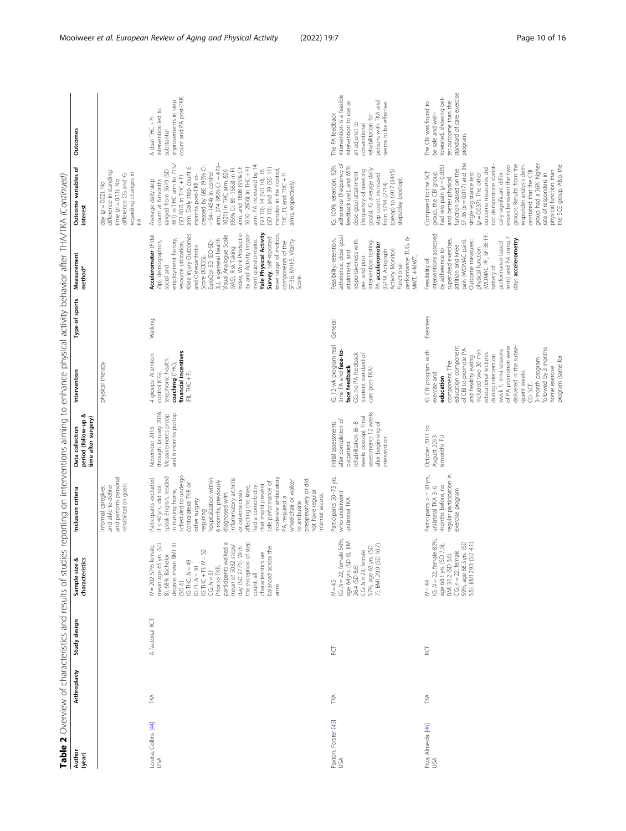| Author<br>(year)            | Arthroplasty | Study design    | Table 2 Overview of characteristics and results of studies reporting on interventions aiming to enhance physical activity behavior after THA/TKA (Continued)<br>Sample size &<br>characteristics                                                                                                                                                                                                                             | Inclusion criteria                                                                                                                                                                                                                                                                                                                                                                                                                                                                                                                       | period (follow-up &<br>time after surgery)<br>Data collection                                                                                                         | Intervention                                                                                                                                                                                                                                                                                                                                                                                           | Type of sports | Measurement<br>method*                                                                                                                                                                                                                                                                                                                                                                                                                                                                  | Outcome variables of<br>interest                                                                                                                                                                                                                                                                                                                                                                                                                                                                                      | <b>Outcomes</b>                                                                                                                                                               |
|-----------------------------|--------------|-----------------|------------------------------------------------------------------------------------------------------------------------------------------------------------------------------------------------------------------------------------------------------------------------------------------------------------------------------------------------------------------------------------------------------------------------------|------------------------------------------------------------------------------------------------------------------------------------------------------------------------------------------------------------------------------------------------------------------------------------------------------------------------------------------------------------------------------------------------------------------------------------------------------------------------------------------------------------------------------------------|-----------------------------------------------------------------------------------------------------------------------------------------------------------------------|--------------------------------------------------------------------------------------------------------------------------------------------------------------------------------------------------------------------------------------------------------------------------------------------------------------------------------------------------------------------------------------------------------|----------------|-----------------------------------------------------------------------------------------------------------------------------------------------------------------------------------------------------------------------------------------------------------------------------------------------------------------------------------------------------------------------------------------------------------------------------------------------------------------------------------------|-----------------------------------------------------------------------------------------------------------------------------------------------------------------------------------------------------------------------------------------------------------------------------------------------------------------------------------------------------------------------------------------------------------------------------------------------------------------------------------------------------------------------|-------------------------------------------------------------------------------------------------------------------------------------------------------------------------------|
|                             |              |                 |                                                                                                                                                                                                                                                                                                                                                                                                                              | and perform personal<br>rehabilitation goals.<br>informal caregiver,<br>and able to define                                                                                                                                                                                                                                                                                                                                                                                                                                               |                                                                                                                                                                       | physical therapy                                                                                                                                                                                                                                                                                                                                                                                       |                |                                                                                                                                                                                                                                                                                                                                                                                                                                                                                         | day (p = 0.02). No<br>difference in standing<br>regarding changes in<br>PA.<br>difference CG and IG<br>time $(p = 0.11)$ . No                                                                                                                                                                                                                                                                                                                                                                                         |                                                                                                                                                                               |
| Losina, Collins [44]<br>USA | Ñ₹           | A factorial RCT | day (SD 2771). With<br>the exception of step<br>participants walked a<br>mean age 65 yrs. (SD<br>degree, mean BMI 31<br>(SD 6)<br>$N = 202$ 57% female,<br>mean of 5032 steps/<br>balanced across the<br>$\begin{array}{ll} \mbox{IG-THC: $N=49$} \\ \mbox{IG-Fl: $N=50$} \\ \mbox{IG-THC + Fl: $N=52$} \\ \mbox{CG: $N=51$} \end{array}$<br>characteristics are<br>8), 68% Bachelor<br>Prior to TKR,<br>count, all<br>arms. | scheduled to undergo<br>speak English, resided<br>Participants excluded<br>inflammatory arthritis<br>hospitalization within<br>moderate ambulatory<br>preoperatively or did<br>6 months, previously<br>PA, required a<br>wheelchair or walker<br>safe performance of<br>contralateral TKR or<br>that might prevent<br>if $<$ 40 yrs., did not<br>affecting the knee,<br>had a comorbidity<br>in nursing home,<br>or osteonecrosis<br>not have regular<br>diagnosed with<br>Internet access.<br>other surgery<br>to ambulate<br>requiring | through January 2016.<br>and 6 months postop<br>Measurements preop<br>November 2013                                                                                   | financial incentives<br>4 groups: Attention<br>telephonic health<br>coaching (THC),<br>$(F1)$ , $THC + F1$ .<br>control (CG)                                                                                                                                                                                                                                                                           | Walking        | ity and Activity Impair-<br>Yale Physical Activity<br>ndex, Work Productiv-<br>Accelerometer (Fitbit<br>Knee injury Outcomes<br>knee range of motion,<br>Visual Analogue Scale<br>Survey, self-reported<br>employment history,<br>3L), a general health<br>ment questionnaire,<br>components of the<br>SF-36, MHI-5, Vitality<br>EuroQol-5D (EQ-5D-<br>Zip), demographics,<br>resource utilization<br>and Osteoarthritis<br>(VAS), Risk Taking<br>Score (KOOS),<br>social and<br>Score. | ranged from 5619 (SD<br>381) in THC arm to 7152<br>(SD 407) in THC + Fl<br>months post-TKR in-<br>creased by 680 (95% CI:<br>- 94-1454) in control<br>arm, 274 (95% CI: – 473–<br>arm. PA increased by 14<br>arm. Daily step count 6<br>(SD 10), and 39 (SD 11)<br>arm, and 1808 (95% CI:<br>1010-2606) in THC+FI<br>minutes in the control,<br>(95% CI: 89-1563) in Fl<br>(SD 10), 14 (SD 10), 16<br>1021) in THC arm, 826<br>THC, FI, and THC +FI<br>Average daily step<br>count at 6 months<br>arms, respectively. | count and PA post-TKR.<br>improvements in step<br>intervention led to<br>A dual THC +FI<br>substantial                                                                        |
| Paxton, Forster [45]<br>USA | ТKА          | ă               | IG: N = 22, female 50%,<br>age 64 yrs. (SD 6), BMI<br>26.4 (SD 8.6)<br>CG: N = 23, female<br>57%, age 63 yrs. (SD<br>7), BMI 29.9 (SD 10.7).<br>$N = 45$                                                                                                                                                                                                                                                                     | Participants 50-75 yrs.<br>who underwent<br>unilateral TKA                                                                                                                                                                                                                                                                                                                                                                                                                                                                               | assessments 12 weeks<br>weeks postop). Final<br>after completion of<br>after beginning of<br>Initial assessments<br>rehabilitation (6-8<br>intervention<br>outpatient | G: 12-wk program real<br>time PA and face-to-<br>CG: no PA feedback<br>current standard of<br>face feedback<br>care post-TKA)                                                                                                                                                                                                                                                                          | General        | adherence, dose goal<br>performance: TUG, 6-<br>Feasibility: retention,<br>responsiveness with<br>intervention testing.<br>PA: accelerometer<br>(GT3X Actigraph<br>Activity Monitor)<br>attainment, and<br>pre- and post-<br>MWT, 4-MWT.<br>Functional                                                                                                                                                                                                                                  | IG: 100% retention, 92%<br>adherence (frequency of<br>feedback use), and 65%<br>goals). IG average daily<br>(frequency of meeting<br>from 5754 (2714)<br>(preop) to 6917 (3445)<br>steps/day (postop).<br>dose goal attainment<br>step count increased                                                                                                                                                                                                                                                                | intervention is a feasible<br>persons with TKA and<br>seems to be effective.<br>intervention to use<br>The PA feedback<br>rehabilitation for<br>an adjunct to<br>conventional |
| Piva, Almeida [46]<br>USA   | Ñ₹           | Й,              | IG: $N = 22$ , female 82%,<br>CG: $n = 22$ , female<br>59%, age 68.3 yrs. (SD<br>5.5), BMI 29.3 (SD 4.1)<br>age 68.1 yrs. (SD 7.5),<br>BMI 31.2 (SD 3.6)<br>$N = 44$                                                                                                                                                                                                                                                         | Participants > = 50 yrs.,<br>regular participation in<br>exercise program<br>months before, no<br>unilateral TKA 3-6                                                                                                                                                                                                                                                                                                                                                                                                                     | October 2011 to<br>August 2013<br>6 months FU                                                                                                                         | delivered in the subse-<br>of PA promotion were<br>education component<br>3-month program<br>followed by 3 months<br>of CBI to promote PA<br>week 1; mini-sessions<br>G: CBI program with<br>included two 30-min<br>educational lectures<br>during intervention<br>and healthy eating<br>program (same for<br>component. The<br>nome exercise<br>quent weeks.<br>exercise and<br>education<br>CG: SCE. | Exercises      | interventions assessed<br>WOMAC PF, SF-36 PF,<br>performance-based<br>tests) and PA using 7<br>days accelerometry.<br>supervised exercises,<br>Outcome measures:<br>pain (WOMAC pain)<br>attrition and knee<br>physical function<br>by adherence to<br>Feasibility of<br>battery of                                                                                                                                                                                                     | $SF-36 (p = 0.017)$ and the<br>groups. Results from the<br>group had a 36% higher<br>ences between the two<br>responder analysis dem-<br>physical function than<br>the SCE group. Also, the<br>had less pain (p = 0.035)<br>not demonstrate statisti<br>outcome measures did<br>function based on the<br>onstrated that the CBI<br>Compared to the SCE<br>cally significant differ-<br>group, the CBI group<br>single-leg stance test<br>$(p = 0.037)$ . The other<br>rate of responders in<br>and better physical    | standard of care exercise<br>tolerated, showing bet-<br>ter outcome than the<br>The CBI was found to<br>be safe and well-<br>program.                                         |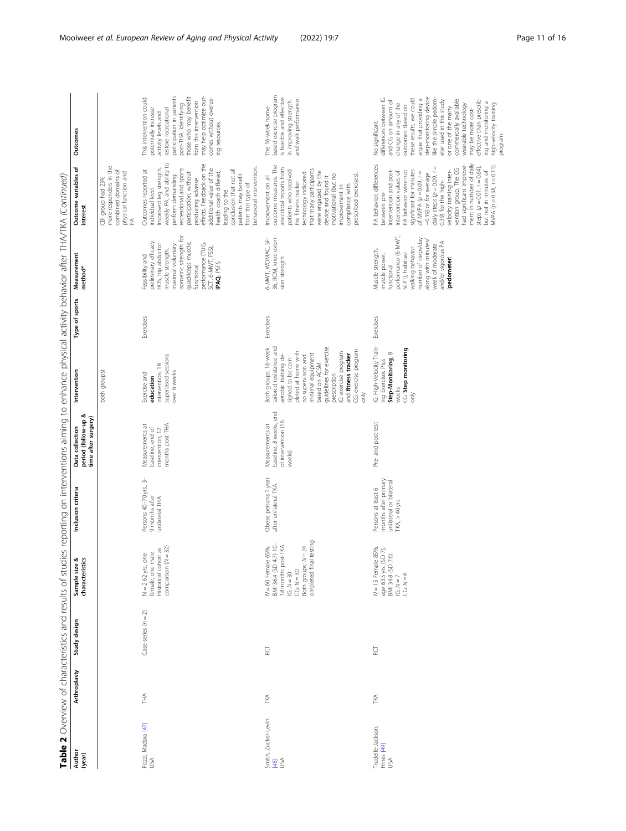|                                        |              |                       | Table 2 Overview of characteristics and results of studies reporting on interventions aiming to enhance physical activity behavior after THA/TKA (Continued) |                                                                                                    |                                                                            |                                                                                                                                                                                                                                                                                                                   |                |                                                                                                                                                                                                                           |                                                                                                                                                                                                                                                                                                                                                                                                                                                             |                                                                                                                                                                                                                                                                                                                                                                                                                                         |
|----------------------------------------|--------------|-----------------------|--------------------------------------------------------------------------------------------------------------------------------------------------------------|----------------------------------------------------------------------------------------------------|----------------------------------------------------------------------------|-------------------------------------------------------------------------------------------------------------------------------------------------------------------------------------------------------------------------------------------------------------------------------------------------------------------|----------------|---------------------------------------------------------------------------------------------------------------------------------------------------------------------------------------------------------------------------|-------------------------------------------------------------------------------------------------------------------------------------------------------------------------------------------------------------------------------------------------------------------------------------------------------------------------------------------------------------------------------------------------------------------------------------------------------------|-----------------------------------------------------------------------------------------------------------------------------------------------------------------------------------------------------------------------------------------------------------------------------------------------------------------------------------------------------------------------------------------------------------------------------------------|
| Author<br>(year)                       | Arthroplasty | Study design          | characteristics<br>Sample size &                                                                                                                             | Inclusion criteria                                                                                 | period (follow-up &<br>time after surgery<br>Data collection               | Intervention                                                                                                                                                                                                                                                                                                      | Type of sports | Measurement<br>method*                                                                                                                                                                                                    | Outcome variables of<br>interest                                                                                                                                                                                                                                                                                                                                                                                                                            | Outcomes                                                                                                                                                                                                                                                                                                                                                                                                                                |
|                                        |              |                       |                                                                                                                                                              |                                                                                                    |                                                                            | both groups)                                                                                                                                                                                                                                                                                                      |                |                                                                                                                                                                                                                           | more responders in the<br>combined domains of<br>physical function and<br>PA.<br>CBI group had 23%                                                                                                                                                                                                                                                                                                                                                          |                                                                                                                                                                                                                                                                                                                                                                                                                                         |
| Pozzi, Madara [47]<br>USA              | Ě            | Case-series $(n = 2)$ | Historical cohort as<br>comparison (N = 32)<br>$N = 2 62 yrs$ , one<br>female, one male<br>$N = 262$ yrs., o                                                 | Persons 40-70 yrs., 3-<br>9 months after<br>unilateral THA                                         | months post-THA<br>Measurements at<br>baseline, end of<br>intervention, 12 | supervised sessions<br>intervention, 18<br>over 6 weeks<br>Exercise and<br>education                                                                                                                                                                                                                              | Exercises      | isometric strength for<br>preliminary efficacy<br>quadriceps musde,<br>performance (TUG,<br>SCT, 6-MWT, FSS),<br>HOS, hip abductor<br>maximal voluntary<br>muscle strength,<br>Feasibility and<br>IPAQ PSFS<br>functional | Improved leg strength,<br>weekly PA, and ability to<br>effects. Feedback on the<br>from this type of<br>behavioral intervention.<br>recreational and sports<br>additional value of the<br>Outcomes reported at<br>conclusion that not all<br>participation, without<br>health coach differed,<br>patients may benefit<br>perform demanding<br>producing adverse<br>individual level.<br>leading to the                                                      | participation in patients<br>may help optimize out-<br>those who may benefit<br>This intervention could<br>comes without overus-<br>from this intervention<br>post-THA. Identifying<br>potentially increase<br>restore recreational<br>activity levels and<br>ing resources                                                                                                                                                             |
| Smith, Zucker-Levin<br>[48]<br>USA     | TKA          | <b>RCT</b>            | testing<br>$N = 60$ Female 65%,<br>BMI 36.4 (SD 4.7) 10-<br>18 months post-TKA<br>IG: $N = 30$<br>$CG: N = 30$<br>Both groups: $N = 24$<br>ompleted fina     | Obese persons 1 year<br>after unilateral TKA                                                       | baseline, 8 weeks, end<br>of intervention (16<br>Measurements at<br>weeks) | tailored resistance and<br>guidelines for exercise<br>Both groups: 16-week<br>CG: exercise program<br>pleted at home with<br>G: exercise program<br>minimal equipment<br>aerobic training de-<br>and fitness tracker<br>no supervision and<br>signed to be com-<br>based on ACSM<br>prescription<br>$\frac{1}{6}$ | Exercises      | 36, ROM, knee exten-<br>sion strength.<br>6-MWT, WOMAC, SF-                                                                                                                                                               | outcome measures. The<br>anecdotal reports from<br>that many participants<br>patients who received<br>were engaged by the<br>technology indicated<br>motivational (but no<br>prescribed exercises).<br>device and found it<br>Improvement on all<br>the fitness tracker<br>compliance with<br>improvement in                                                                                                                                                | based exercise program<br>is feasible and effective<br>in improving strength<br>and walk performance.<br>The 16-week home-                                                                                                                                                                                                                                                                                                              |
| Trudelle-Jackson,<br>Hines [49]<br>USA | īΚΑ          | RCT                   | 85%,<br>age 63.5 yrs. (SD 7),<br>BMI 34.8 (SD 7.6)<br>IG: N = 7<br>CG: N = 6<br>$N = 13$ Female                                                              | months after primary<br>unilateral or bilateral<br>Persons at least 6<br>TKA <sub>1</sub> > 40 yrs | Pre- and post-test                                                         | G: High-Velocity Train-<br>CG: Step monitoring<br>Step-Monitoring, 8<br>ing Exercises Plus<br>weeks<br>$\frac{2}{5}$                                                                                                                                                                                              | Exercises      | performance (6-MWT,<br>number of steps/day<br>along with minutes,<br>week of moderate<br>and/or vigorous PA<br>walking behavior.<br>Muscle strength,<br>SCPT), habitual<br>muscle power,<br>(pedometer)<br>functional     | ment in number of daily<br>had significant improve-<br>PA behavior: differences<br>between pre-<br>$WPA (p = 0.38, r = 0.11).$<br>steps $(p = 0.01, r = 0.64)$<br>vention group. The CG<br>significant for minutes<br>intervention and post-<br>velocity training inter-<br>but not in minutes of<br>PA behavior were not<br>intervention values of<br>of MVPA $(p = 0.09, r =$<br>daily steps (p = 0.09, r<br>-0.39) or for average<br>0.39) for the high- | step-monitoring device<br>differences between IG<br>these results, we could<br>like the simple pedom-<br>argue that providing a<br>commercially available<br>effective than prescrib-<br>and CG on amount of<br>eter used in this study<br>ing and monitoring a<br>change in any of the<br>high-velocity training<br>wearable technology<br>outcomes. Based on<br>or one of the many<br>may be more cost-<br>No significant<br>program. |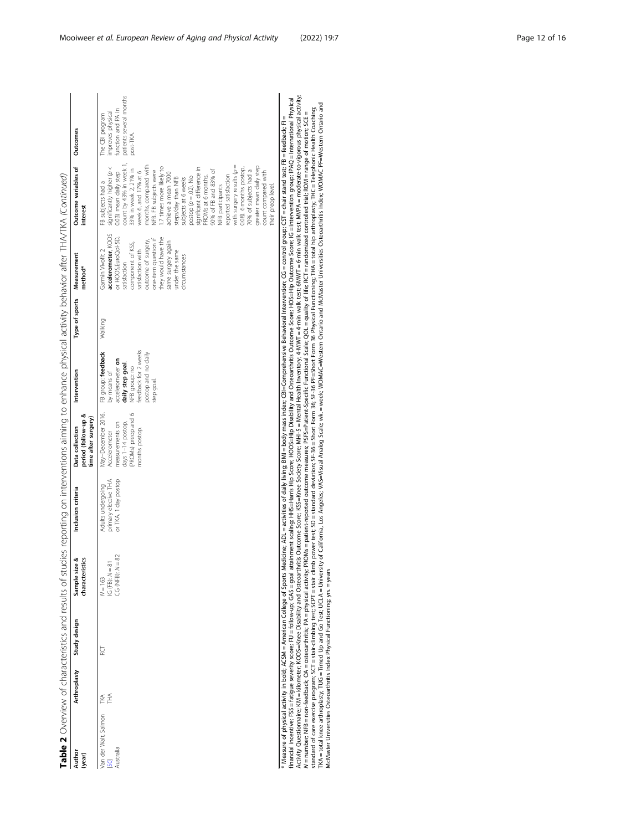|                                   |               |                                                                                                                                                               |                                                      | Table 2 Overview of characteristics and results of studies reporting on interventions aiming to enhance physical activity behavior after THA/TKA (Continued)                                                                                                                                                                                                                                                                                                                                                                                                                                                                                                                                                                                                                                                                                                                                                                                                                                                                                                                                                                                                                                                                                                                                                                                |                                                                                                                     |                                                                                                                                                       |                |                                                                                                                                                                                                                                                       |                                                                                                                                                                                                                                                                                                                                                                                                                                                                                                                                                                                                                                               |                                                                                                    |
|-----------------------------------|---------------|---------------------------------------------------------------------------------------------------------------------------------------------------------------|------------------------------------------------------|---------------------------------------------------------------------------------------------------------------------------------------------------------------------------------------------------------------------------------------------------------------------------------------------------------------------------------------------------------------------------------------------------------------------------------------------------------------------------------------------------------------------------------------------------------------------------------------------------------------------------------------------------------------------------------------------------------------------------------------------------------------------------------------------------------------------------------------------------------------------------------------------------------------------------------------------------------------------------------------------------------------------------------------------------------------------------------------------------------------------------------------------------------------------------------------------------------------------------------------------------------------------------------------------------------------------------------------------|---------------------------------------------------------------------------------------------------------------------|-------------------------------------------------------------------------------------------------------------------------------------------------------|----------------|-------------------------------------------------------------------------------------------------------------------------------------------------------------------------------------------------------------------------------------------------------|-----------------------------------------------------------------------------------------------------------------------------------------------------------------------------------------------------------------------------------------------------------------------------------------------------------------------------------------------------------------------------------------------------------------------------------------------------------------------------------------------------------------------------------------------------------------------------------------------------------------------------------------------|----------------------------------------------------------------------------------------------------|
| Author<br>(year)                  | Arthroplasty  | Study design                                                                                                                                                  | Sample size &<br>characteristics                     | Inclusion criteria                                                                                                                                                                                                                                                                                                                                                                                                                                                                                                                                                                                                                                                                                                                                                                                                                                                                                                                                                                                                                                                                                                                                                                                                                                                                                                                          | period (follow-up &<br>time after surgery)<br>Data collection                                                       | Intervention                                                                                                                                          | Type of sports | Measurement<br>method*                                                                                                                                                                                                                                | Outcome variables of<br>interest                                                                                                                                                                                                                                                                                                                                                                                                                                                                                                                                                                                                              | <b>Outcomes</b>                                                                                    |
| Van der Walt, Salmon<br>Australia | F<br>F<br>īΧΑ | ă                                                                                                                                                             | 82<br>$IG (FB): N = 81$<br>CG (NFB): N=<br>$N = 163$ | or TKA, 1 day postop<br>primary elective THA<br>Adults undergoing                                                                                                                                                                                                                                                                                                                                                                                                                                                                                                                                                                                                                                                                                                                                                                                                                                                                                                                                                                                                                                                                                                                                                                                                                                                                           | PROMs) preop and 6<br>May-December 2016.<br>measurements on<br>days 1-14 postop,<br>months postop.<br>Accelerometer | feedback for 2 weeks<br>postop and no daily<br>FB group: feedback<br>accelerometer on<br>daily step goal<br>NFB group: no<br>by means of<br>itep goal | Walking        | accelerometer, KOOS<br>or HOOS,EuroQol-5D,<br>they would have the<br>one-item question if<br>outcome of surgery<br>same surgery again<br>component of KSS,<br>Gamin Vivofit 2<br>satisfaction with<br>under the same<br>circumstances<br>satisfaction | count by 43% in week 1,<br>with surgery results $\varphi =$<br>months, compared with<br>greater mean daily step<br>significant difference in<br>1.7 times more likely to<br>0.08). 6 months postop,<br>33% in week 2, 21% in<br>90% of FB and 83% of<br>70% of subjects had a<br><b>VFB. FB subjects were</b><br>week 6, and 17% at 6<br>significantly higher (p<br>count compared with<br>0.03) mean daily step<br>achieve a mean 7000<br>reported satisfaction<br>$\text{postop}(\rho = 0.2)$ . No<br>PROMs at 6 months.<br>steps/day than NFB<br>subjects at 6 weeks<br>FB subjects had a<br>their preop level.<br><b>NFB</b> participants | patients several months<br>function and PA in<br>improves physical<br>The CBI program<br>post-TKA. |
|                                   |               | TKA = total knee arthroplasty; TUG = Timed Up and Go Test; UCLA = University<br>McMaster Universities Osteoarthritis Index Physical Functioning; yrs. = years |                                                      | Activity Questionnaire; KM = kilometer; KOOS=Knee Disability and Osteoathritis Outcome Score; KSS=Knee Society Score; MHI-5 = Mental Health Inventory; 4-MWT = 4-min walk test; 6MWT = 6-min walk test; MVPA = moderate-to-vig<br>financial incentive; FSS = fatigue severity score; FU = follow-up; GAS = goal attainment scaling; HHS=Harits Hp Score; HOS=Hip Disability and Osteoarthritis Outcome Score; HOS=Hip Outcome Score; IG= intervention group; IPA<br>of California, Los Angeles; VAS=Visual Analog Scale; wk. = week; WOMAC=Western Ontario and McMaster Universities Osteoarthritis Index; WOMAC PF=Western Ontario and<br>standad of care exercise program; SCT = stair-climbing test; SCPT = stair climb power test; SD= standad deviation; SF-36 = Short Form 36 CF= - Short Form 36 Physical Functioning; THA = total hig arthroplasty; THC = Telepho<br>N = number; NFB = non-feedback; OA = osteoarthritis; PA = physical activity; PROMs = patient-eported outcome measures; PSFS=Patient-Specific Functional Scale; QQL = quality of life; RCT = randomized controlled trial; ROM=<br>* Measure of physical activity in bold; ACSM = American College of Sports Medicine; ADL = activities of daily livities of daily living; BMI = body mass index; CBI=Comprehensive Behavioral Intervention; CG = control group; |                                                                                                                     |                                                                                                                                                       |                |                                                                                                                                                                                                                                                       |                                                                                                                                                                                                                                                                                                                                                                                                                                                                                                                                                                                                                                               |                                                                                                    |

| ٦<br>ڊ<br>١<br>j<br>j      |
|----------------------------|
|                            |
|                            |
|                            |
| I                          |
|                            |
|                            |
| ֦<br>l<br>1                |
|                            |
| İ                          |
| Ò                          |
| j<br>i,<br>١               |
| $\mathbf \zeta$<br>١       |
| ì                          |
| I                          |
| $\frac{1}{2}$              |
|                            |
| $\frac{1}{2}$              |
| i<br>į                     |
| j                          |
| ξ<br>j                     |
| l                          |
| l                          |
| ļ                          |
| n <sub>C</sub> a<br>)<br>) |
|                            |
| Ž                          |
| j<br>1<br>J                |
|                            |
| $\overline{ }$             |
| $\ddot{\phantom{a}}$       |
|                            |
| i<br>i<br>D                |
| ļ                          |
| Ì                          |
| ١                          |
| ğ                          |
| ì                          |
| $\frac{1}{2}$              |
|                            |
| I<br>J                     |
| J                          |
| $\mathbf{I}$               |
| J<br>I                     |
| d<br>ś                     |
|                            |
| ì<br>ī<br>j                |
| ١                          |
|                            |
| J                          |
| ļ                          |
| f                          |
| j<br>ب<br>م                |
| ٦<br>5                     |
| JUCS ar                    |
|                            |
|                            |
| ì<br>i                     |
| Ï<br>ׇ֦֡֡<br>ֺ֦֖֘֝֬        |
| ١                          |
| ١                          |
|                            |
|                            |
|                            |
|                            |
| j                          |
|                            |
|                            |
| J                          |
| ⋍<br>Í                     |
|                            |
| ı                          |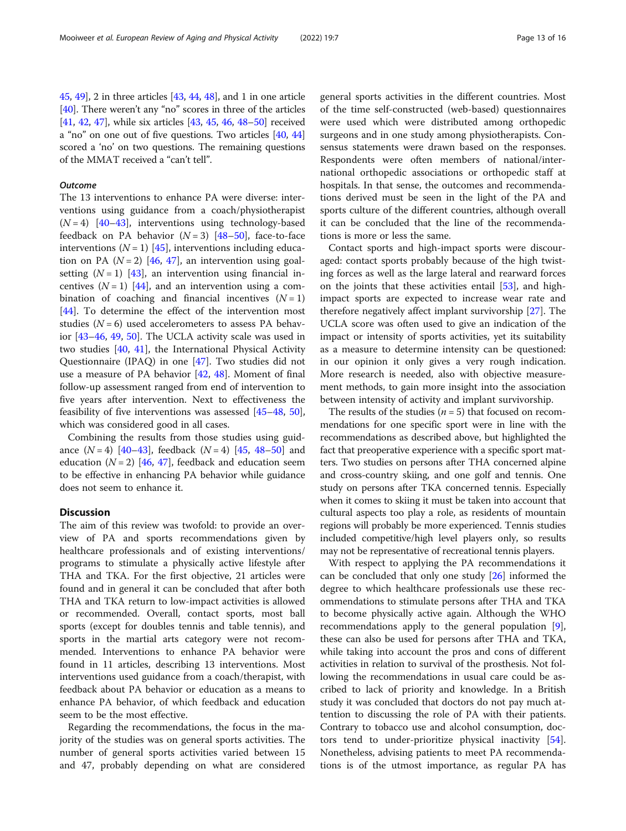[45](#page-15-0), [49\]](#page-15-0), 2 in three articles [\[43,](#page-15-0) [44](#page-15-0), [48](#page-15-0)], and 1 in one article [[40](#page-15-0)]. There weren't any "no" scores in three of the articles [[41](#page-15-0), [42](#page-15-0), [47](#page-15-0)], while six articles [\[43,](#page-15-0) [45,](#page-15-0) [46,](#page-15-0) [48](#page-15-0)–[50](#page-15-0)] received a "no" on one out of five questions. Two articles [[40](#page-15-0), [44](#page-15-0)] scored a 'no' on two questions. The remaining questions of the MMAT received a "can't tell".

# **Outcome**

The 13 interventions to enhance PA were diverse: interventions using guidance from a coach/physiotherapist  $(N = 4)$  [\[40](#page-15-0)–[43\]](#page-15-0), interventions using technology-based feedback on PA behavior  $(N = 3)$  [\[48](#page-15-0)–[50\]](#page-15-0), face-to-face interventions  $(N = 1)$  [\[45](#page-15-0)], interventions including education on PA  $(N = 2)$  [[46](#page-15-0), [47](#page-15-0)], an intervention using goalsetting  $(N = 1)$  [[43](#page-15-0)], an intervention using financial incentives  $(N = 1)$  [[44\]](#page-15-0), and an intervention using a combination of coaching and financial incentives  $(N = 1)$ [[44\]](#page-15-0). To determine the effect of the intervention most studies  $(N = 6)$  used accelerometers to assess PA behavior [\[43](#page-15-0)–[46,](#page-15-0) [49](#page-15-0), [50](#page-15-0)]. The UCLA activity scale was used in two studies [[40,](#page-15-0) [41\]](#page-15-0), the International Physical Activity Questionnaire (IPAQ) in one [\[47\]](#page-15-0). Two studies did not use a measure of PA behavior [\[42](#page-15-0), [48\]](#page-15-0). Moment of final follow-up assessment ranged from end of intervention to five years after intervention. Next to effectiveness the feasibility of five interventions was assessed [\[45](#page-15-0)–[48,](#page-15-0) [50](#page-15-0)], which was considered good in all cases.

Combining the results from those studies using guidance  $(N = 4)$  [\[40](#page-15-0)–[43\]](#page-15-0), feedback  $(N = 4)$  [\[45,](#page-15-0) [48](#page-15-0)–[50\]](#page-15-0) and education  $(N = 2)$  [[46,](#page-15-0) [47\]](#page-15-0), feedback and education seem to be effective in enhancing PA behavior while guidance does not seem to enhance it.

# **Discussion**

The aim of this review was twofold: to provide an overview of PA and sports recommendations given by healthcare professionals and of existing interventions/ programs to stimulate a physically active lifestyle after THA and TKA. For the first objective, 21 articles were found and in general it can be concluded that after both THA and TKA return to low-impact activities is allowed or recommended. Overall, contact sports, most ball sports (except for doubles tennis and table tennis), and sports in the martial arts category were not recommended. Interventions to enhance PA behavior were found in 11 articles, describing 13 interventions. Most interventions used guidance from a coach/therapist, with feedback about PA behavior or education as a means to enhance PA behavior, of which feedback and education seem to be the most effective.

Regarding the recommendations, the focus in the majority of the studies was on general sports activities. The number of general sports activities varied between 15 and 47, probably depending on what are considered general sports activities in the different countries. Most of the time self-constructed (web-based) questionnaires were used which were distributed among orthopedic surgeons and in one study among physiotherapists. Consensus statements were drawn based on the responses. Respondents were often members of national/international orthopedic associations or orthopedic staff at hospitals. In that sense, the outcomes and recommendations derived must be seen in the light of the PA and sports culture of the different countries, although overall it can be concluded that the line of the recommendations is more or less the same.

Contact sports and high-impact sports were discouraged: contact sports probably because of the high twisting forces as well as the large lateral and rearward forces on the joints that these activities entail [\[53](#page-15-0)], and highimpact sports are expected to increase wear rate and therefore negatively affect implant survivorship [\[27\]](#page-14-0). The UCLA score was often used to give an indication of the impact or intensity of sports activities, yet its suitability as a measure to determine intensity can be questioned: in our opinion it only gives a very rough indication. More research is needed, also with objective measurement methods, to gain more insight into the association between intensity of activity and implant survivorship.

The results of the studies  $(n = 5)$  that focused on recommendations for one specific sport were in line with the recommendations as described above, but highlighted the fact that preoperative experience with a specific sport matters. Two studies on persons after THA concerned alpine and cross-country skiing, and one golf and tennis. One study on persons after TKA concerned tennis. Especially when it comes to skiing it must be taken into account that cultural aspects too play a role, as residents of mountain regions will probably be more experienced. Tennis studies included competitive/high level players only, so results may not be representative of recreational tennis players.

With respect to applying the PA recommendations it can be concluded that only one study [\[26](#page-14-0)] informed the degree to which healthcare professionals use these recommendations to stimulate persons after THA and TKA to become physically active again. Although the WHO recommendations apply to the general population [\[9](#page-14-0)], these can also be used for persons after THA and TKA, while taking into account the pros and cons of different activities in relation to survival of the prosthesis. Not following the recommendations in usual care could be ascribed to lack of priority and knowledge. In a British study it was concluded that doctors do not pay much attention to discussing the role of PA with their patients. Contrary to tobacco use and alcohol consumption, doctors tend to under-prioritize physical inactivity [\[54](#page-15-0)]. Nonetheless, advising patients to meet PA recommendations is of the utmost importance, as regular PA has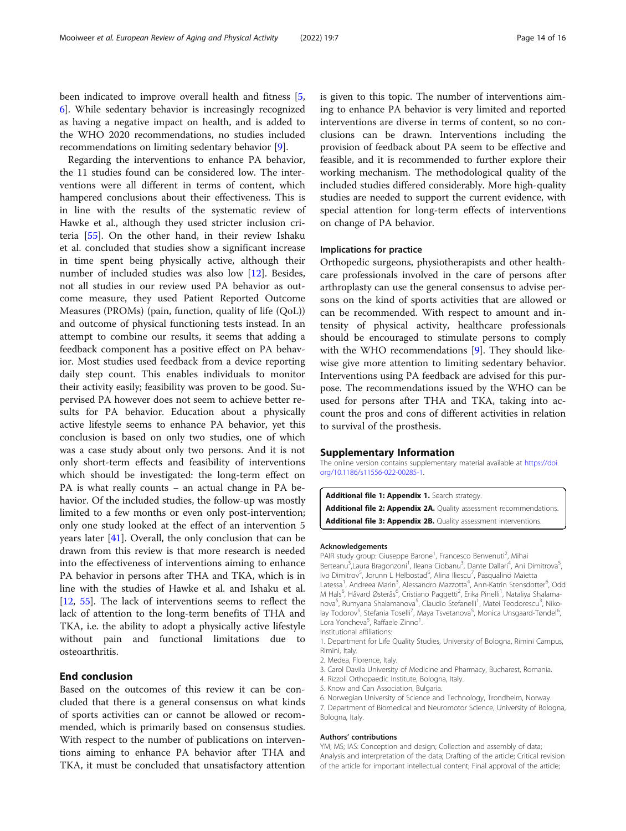<span id="page-13-0"></span>been indicated to improve overall health and fitness [\[5](#page-14-0), [6\]](#page-14-0). While sedentary behavior is increasingly recognized as having a negative impact on health, and is added to the WHO 2020 recommendations, no studies included recommendations on limiting sedentary behavior [\[9](#page-14-0)].

Regarding the interventions to enhance PA behavior, the 11 studies found can be considered low. The interventions were all different in terms of content, which hampered conclusions about their effectiveness. This is in line with the results of the systematic review of Hawke et al., although they used stricter inclusion criteria [\[55](#page-15-0)]. On the other hand, in their review Ishaku et al. concluded that studies show a significant increase in time spent being physically active, although their number of included studies was also low [[12\]](#page-14-0). Besides, not all studies in our review used PA behavior as outcome measure, they used Patient Reported Outcome Measures (PROMs) (pain, function, quality of life (QoL)) and outcome of physical functioning tests instead. In an attempt to combine our results, it seems that adding a feedback component has a positive effect on PA behavior. Most studies used feedback from a device reporting daily step count. This enables individuals to monitor their activity easily; feasibility was proven to be good. Supervised PA however does not seem to achieve better results for PA behavior. Education about a physically active lifestyle seems to enhance PA behavior, yet this conclusion is based on only two studies, one of which was a case study about only two persons. And it is not only short-term effects and feasibility of interventions which should be investigated: the long-term effect on PA is what really counts − an actual change in PA behavior. Of the included studies, the follow-up was mostly limited to a few months or even only post-intervention; only one study looked at the effect of an intervention 5 years later [[41](#page-15-0)]. Overall, the only conclusion that can be drawn from this review is that more research is needed into the effectiveness of interventions aiming to enhance PA behavior in persons after THA and TKA, which is in line with the studies of Hawke et al. and Ishaku et al. [[12,](#page-14-0) [55\]](#page-15-0). The lack of interventions seems to reflect the lack of attention to the long-term benefits of THA and TKA, i.e. the ability to adopt a physically active lifestyle without pain and functional limitations due to osteoarthritis.

# End conclusion

Based on the outcomes of this review it can be concluded that there is a general consensus on what kinds of sports activities can or cannot be allowed or recommended, which is primarily based on consensus studies. With respect to the number of publications on interventions aiming to enhance PA behavior after THA and TKA, it must be concluded that unsatisfactory attention is given to this topic. The number of interventions aiming to enhance PA behavior is very limited and reported interventions are diverse in terms of content, so no conclusions can be drawn. Interventions including the provision of feedback about PA seem to be effective and feasible, and it is recommended to further explore their working mechanism. The methodological quality of the included studies differed considerably. More high-quality studies are needed to support the current evidence, with special attention for long-term effects of interventions on change of PA behavior.

# Implications for practice

Orthopedic surgeons, physiotherapists and other healthcare professionals involved in the care of persons after arthroplasty can use the general consensus to advise persons on the kind of sports activities that are allowed or can be recommended. With respect to amount and intensity of physical activity, healthcare professionals should be encouraged to stimulate persons to comply with the WHO recommendations [[9\]](#page-14-0). They should likewise give more attention to limiting sedentary behavior. Interventions using PA feedback are advised for this purpose. The recommendations issued by the WHO can be used for persons after THA and TKA, taking into account the pros and cons of different activities in relation to survival of the prosthesis.

#### Supplementary Information

The online version contains supplementary material available at [https://doi.](https://doi.org/10.1186/s11556-022-00285-1) [org/10.1186/s11556-022-00285-1.](https://doi.org/10.1186/s11556-022-00285-1)

Additional file 1: Appendix 1. Search strategy. Additional file 2: Appendix 2A. Quality assessment recommendations.

Additional file 3: Appendix 2B. Quality assessment interventions.

#### Acknowledgements

PAIR study group: Giuseppe Barone<sup>1</sup>, Francesco Benvenuti<sup>2</sup>, Mihai Berteanu<sup>3</sup>, Laura Bragonzoni<sup>1</sup>, Ileana Ciobanu<sup>3</sup>, Dante Dallari<sup>4</sup>, Ani Dimitrova<sup>5</sup> Ivo Dimitrov<sup>5</sup>, Jorunn L Helbostad<sup>6</sup>, Alina Iliescu<sup>7</sup>, Pasqualino Maietta Latessa<sup>1</sup>, Andreea Marin<sup>3</sup>, Alessandro Mazzotta<sup>4</sup>, Ann-Katrin Stensdotter<sup>6</sup>, Odd M Hals<sup>6</sup>, Håvard Østerås<sup>6</sup>, Cristiano Paggetti<sup>2</sup>, Erika Pinelli<sup>1</sup>, Nataliya Shalamanova<sup>5</sup>, Rumyana Shalamanova<sup>5</sup>, Claudio Stefanelli<sup>1</sup>, Matei Teodorescu<sup>3</sup>, Nikolay Todorov<sup>5</sup>, Stefania Toselli<sup>7</sup>, Maya Tsvetanova<sup>5</sup>, Monica Unsgaard-Tøndel<sup>6</sup> , Lora Yoncheva<sup>5</sup>, Raffaele Zinno<sup>1</sup> .

Institutional affiliations:

1. Department for Life Quality Studies, University of Bologna, Rimini Campus, Rimini, Italy.

- 2. Medea, Florence, Italy.
- 3. Carol Davila University of Medicine and Pharmacy, Bucharest, Romania.
- 4. Rizzoli Orthopaedic Institute, Bologna, Italy.
- 5. Know and Can Association, Bulgaria.

6. Norwegian University of Science and Technology, Trondheim, Norway. 7. Department of Biomedical and Neuromotor Science, University of Bologna, Bologna, Italy.

#### Authors' contributions

YM; MS; IAS: Conception and design; Collection and assembly of data; Analysis and interpretation of the data; Drafting of the article; Critical revision of the article for important intellectual content; Final approval of the article;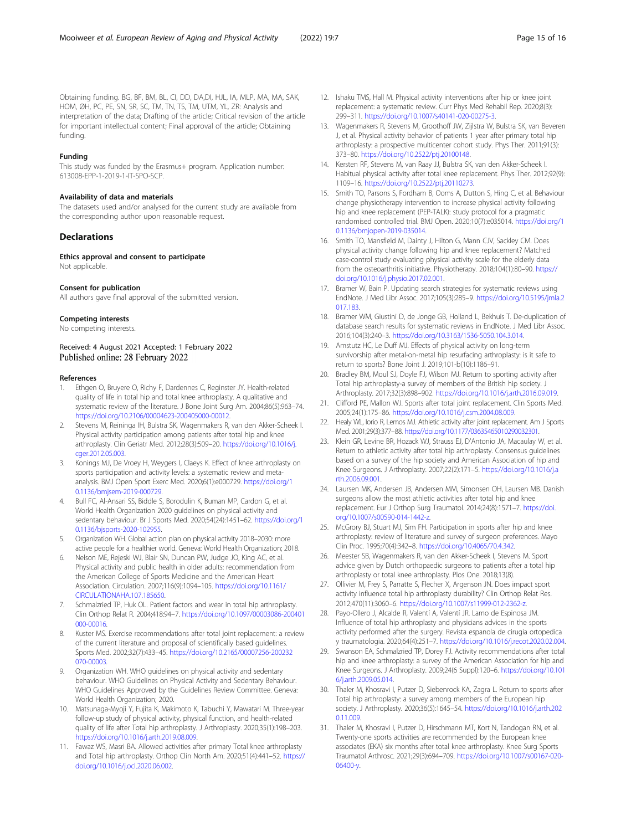#### <span id="page-14-0"></span>Funding

This study was funded by the Erasmus+ program. Application number: 613008-EPP-1-2019-1-IT-SPO-SCP.

#### Availability of data and materials

The datasets used and/or analysed for the current study are available from the corresponding author upon reasonable request.

#### **Declarations**

#### Ethics approval and consent to participate

Not applicable.

#### Consent for publication

All authors gave final approval of the submitted version.

#### Competing interests

No competing interests.

Received: 4 August 2021 Accepted: 1 February 2022 Published online: 28 February 2022

#### References

- Ethgen O, Bruyere O, Richy F, Dardennes C, Reginster JY. Health-related quality of life in total hip and total knee arthroplasty. A qualitative and systematic review of the literature. J Bone Joint Surg Am. 2004;86(5):963–74. <https://doi.org/10.2106/00004623-200405000-00012>.
- 2. Stevens M, Reininga IH, Bulstra SK, Wagenmakers R, van den Akker-Scheek I. Physical activity participation among patients after total hip and knee arthroplasty. Clin Geriatr Med. 2012;28(3):509–20. [https://doi.org/10.1016/j.](https://doi.org/10.1016/j.cger.2012.05.003) [cger.2012.05.003](https://doi.org/10.1016/j.cger.2012.05.003).
- 3. Konings MJ, De Vroey H, Weygers I, Claeys K. Effect of knee arthroplasty on sports participation and activity levels: a systematic review and metaanalysis. BMJ Open Sport Exerc Med. 2020;6(1):e000729. [https://doi.org/1](https://doi.org/10.1136/bmjsem-2019-000729) [0.1136/bmjsem-2019-000729.](https://doi.org/10.1136/bmjsem-2019-000729)
- 4. Bull FC, Al-Ansari SS, Biddle S, Borodulin K, Buman MP, Cardon G, et al. World Health Organization 2020 guidelines on physical activity and sedentary behaviour. Br J Sports Med. 2020;54(24):1451–62. [https://doi.org/1](https://doi.org/10.1136/bjsports-2020-102955) [0.1136/bjsports-2020-102955](https://doi.org/10.1136/bjsports-2020-102955).
- 5. Organization WH. Global action plan on physical activity 2018–2030: more active people for a healthier world. Geneva: World Health Organization; 2018.
- 6. Nelson ME, Rejeski WJ, Blair SN, Duncan PW, Judge JO, King AC, et al. Physical activity and public health in older adults: recommendation from the American College of Sports Medicine and the American Heart Association. Circulation. 2007;116(9):1094–105. [https://doi.org/10.1161/](https://doi.org/10.1161/CIRCULATIONAHA.107.185650) [CIRCULATIONAHA.107.185650](https://doi.org/10.1161/CIRCULATIONAHA.107.185650).
- 7. Schmalzried TP, Huk OL. Patient factors and wear in total hip arthroplasty. Clin Orthop Relat R. 2004;418:94–7. [https://doi.org/10.1097/00003086-200401](https://doi.org/10.1097/00003086-200401000-00016) [000-00016](https://doi.org/10.1097/00003086-200401000-00016).
- 8. Kuster MS. Exercise recommendations after total joint replacement: a review of the current literature and proposal of scientifically based guidelines. Sports Med. 2002;32(7):433–45. [https://doi.org/10.2165/00007256-200232](https://doi.org/10.2165/00007256-200232070-00003) [070-00003](https://doi.org/10.2165/00007256-200232070-00003).
- 9. Organization WH. WHO guidelines on physical activity and sedentary behaviour. WHO Guidelines on Physical Activity and Sedentary Behaviour. WHO Guidelines Approved by the Guidelines Review Committee. Geneva: World Health Organization; 2020.
- 10. Matsunaga-Myoji Y, Fujita K, Makimoto K, Tabuchi Y, Mawatari M. Three-year follow-up study of physical activity, physical function, and health-related quality of life after Total hip arthroplasty. J Arthroplasty. 2020;35(1):198–203. <https://doi.org/10.1016/j.arth.2019.08.009>.
- 11. Fawaz WS, Masri BA. Allowed activities after primary Total knee arthroplasty and Total hip arthroplasty. Orthop Clin North Am. 2020;51(4):441–52. [https://](https://doi.org/10.1016/j.ocl.2020.06.002) [doi.org/10.1016/j.ocl.2020.06.002.](https://doi.org/10.1016/j.ocl.2020.06.002)
- 12. Ishaku TMS, Hall M. Physical activity interventions after hip or knee joint replacement: a systematic review. Curr Phys Med Rehabil Rep. 2020;8(3): 299–311. [https://doi.org/10.1007/s40141-020-00275-3.](https://doi.org/10.1007/s40141-020-00275-3)
- 13. Wagenmakers R, Stevens M, Groothoff JW, Zijlstra W, Bulstra SK, van Beveren J, et al. Physical activity behavior of patients 1 year after primary total hip arthroplasty: a prospective multicenter cohort study. Phys Ther. 2011;91(3): 373–80. [https://doi.org/10.2522/ptj.20100148.](https://doi.org/10.2522/ptj.20100148)
- 14. Kersten RF, Stevens M, van Raay JJ, Bulstra SK, van den Akker-Scheek I. Habitual physical activity after total knee replacement. Phys Ther. 2012;92(9): 1109–16. <https://doi.org/10.2522/ptj.20110273>.
- 15. Smith TO, Parsons S, Fordham B, Ooms A, Dutton S, Hing C, et al. Behaviour change physiotherapy intervention to increase physical activity following hip and knee replacement (PEP-TALK): study protocol for a pragmatic randomised controlled trial. BMJ Open. 2020;10(7):e035014. [https://doi.org/1](https://doi.org/10.1136/bmjopen-2019-035014) [0.1136/bmjopen-2019-035014.](https://doi.org/10.1136/bmjopen-2019-035014)
- 16. Smith TO, Mansfield M, Dainty J, Hilton G, Mann CJV, Sackley CM. Does physical activity change following hip and knee replacement? Matched case-control study evaluating physical activity scale for the elderly data from the osteoarthritis initiative. Physiotherapy. 2018;104(1):80–90. [https://](https://doi.org/10.1016/j.physio.2017.02.001) [doi.org/10.1016/j.physio.2017.02.001.](https://doi.org/10.1016/j.physio.2017.02.001)
- 17. Bramer W, Bain P. Updating search strategies for systematic reviews using EndNote. J Med Libr Assoc. 2017;105(3):285–9. [https://doi.org/10.5195/jmla.2](https://doi.org/10.5195/jmla.2017.183) [017.183](https://doi.org/10.5195/jmla.2017.183).
- 18. Bramer WM, Giustini D, de Jonge GB, Holland L, Bekhuis T. De-duplication of database search results for systematic reviews in EndNote. J Med Libr Assoc. 2016;104(3):240–3. [https://doi.org/10.3163/1536-5050.104.3.014.](https://doi.org/10.3163/1536-5050.104.3.014)
- 19. Amstutz HC, Le Duff MJ. Effects of physical activity on long-term survivorship after metal-on-metal hip resurfacing arthroplasty: is it safe to return to sports? Bone Joint J. 2019;101-b(10):1186–91.
- 20. Bradley BM, Moul SJ, Doyle FJ, Wilson MJ. Return to sporting activity after Total hip arthroplasty-a survey of members of the British hip society. J Arthroplasty. 2017;32(3):898–902. <https://doi.org/10.1016/j.arth.2016.09.019>.
- 21. Clifford PE, Mallon WJ. Sports after total joint replacement. Clin Sports Med. 2005;24(1):175–86. <https://doi.org/10.1016/j.csm.2004.08.009>.
- 22. Healy WL, Iorio R, Lemos MJ. Athletic activity after joint replacement. Am J Sports Med. 2001;29(3):377–88. <https://doi.org/10.1177/03635465010290032301>.
- 23. Klein GR, Levine BR, Hozack WJ, Strauss EJ, D'Antonio JA, Macaulay W, et al. Return to athletic activity after total hip arthroplasty. Consensus guidelines based on a survey of the hip society and American Association of hip and Knee Surgeons. J Arthroplasty. 2007;22(2):171–5. [https://doi.org/10.1016/j.a](https://doi.org/10.1016/j.arth.2006.09.001) [rth.2006.09.001.](https://doi.org/10.1016/j.arth.2006.09.001)
- 24. Laursen MK, Andersen JB, Andersen MM, Simonsen OH, Laursen MB. Danish surgeons allow the most athletic activities after total hip and knee replacement. Eur J Orthop Surg Traumatol. 2014;24(8):1571–7. [https://doi.](https://doi.org/10.1007/s00590-014-1442-z) [org/10.1007/s00590-014-1442-z.](https://doi.org/10.1007/s00590-014-1442-z)
- 25. McGrory BJ, Stuart MJ, Sim FH. Participation in sports after hip and knee arthroplasty: review of literature and survey of surgeon preferences. Mayo Clin Proc. 1995;70(4):342–8. <https://doi.org/10.4065/70.4.342>.
- 26. Meester SB, Wagenmakers R, van den Akker-Scheek I, Stevens M. Sport advice given by Dutch orthopaedic surgeons to patients after a total hip arthroplasty or total knee arthroplasty. Plos One. 2018;13(8).
- 27. Ollivier M, Frey S, Parratte S, Flecher X, Argenson JN. Does impact sport activity influence total hip arthroplasty durability? Clin Orthop Relat Res. 2012;470(11):3060–6. <https://doi.org/10.1007/s11999-012-2362-z>.
- 28. Payo-Ollero J, Alcalde R, Valentí A, Valentí JR. Lamo de Espinosa JM. Influence of total hip arthroplasty and physicians advices in the sports activity performed after the surgery. Revista espanola de cirugia ortopedica y traumatologia. 2020;64(4):251–7. <https://doi.org/10.1016/j.recot.2020.02.004>.
- 29. Swanson EA, Schmalzried TP, Dorey FJ. Activity recommendations after total hip and knee arthroplasty: a survey of the American Association for hip and Knee Surgeons. J Arthroplasty. 2009;24(6 Suppl):120–6. [https://doi.org/10.101](https://doi.org/10.1016/j.arth.2009.05.014) [6/j.arth.2009.05.014.](https://doi.org/10.1016/j.arth.2009.05.014)
- 30. Thaler M, Khosravi I, Putzer D, Siebenrock KA, Zagra L. Return to sports after Total hip arthroplasty: a survey among members of the European hip society. J Arthroplasty. 2020;36(5):1645–54. [https://doi.org/10.1016/j.arth.202](https://doi.org/10.1016/j.arth.2020.11.009) [0.11.009.](https://doi.org/10.1016/j.arth.2020.11.009)
- 31. Thaler M, Khosravi I, Putzer D, Hirschmann MT, Kort N, Tandogan RN, et al. Twenty-one sports activities are recommended by the European knee associates (EKA) six months after total knee arthroplasty. Knee Surg Sports Traumatol Arthrosc. 2021;29(3):694–709. [https://doi.org/10.1007/s00167-020-](https://doi.org/10.1007/s00167-020-06400-y) [06400-y.](https://doi.org/10.1007/s00167-020-06400-y)